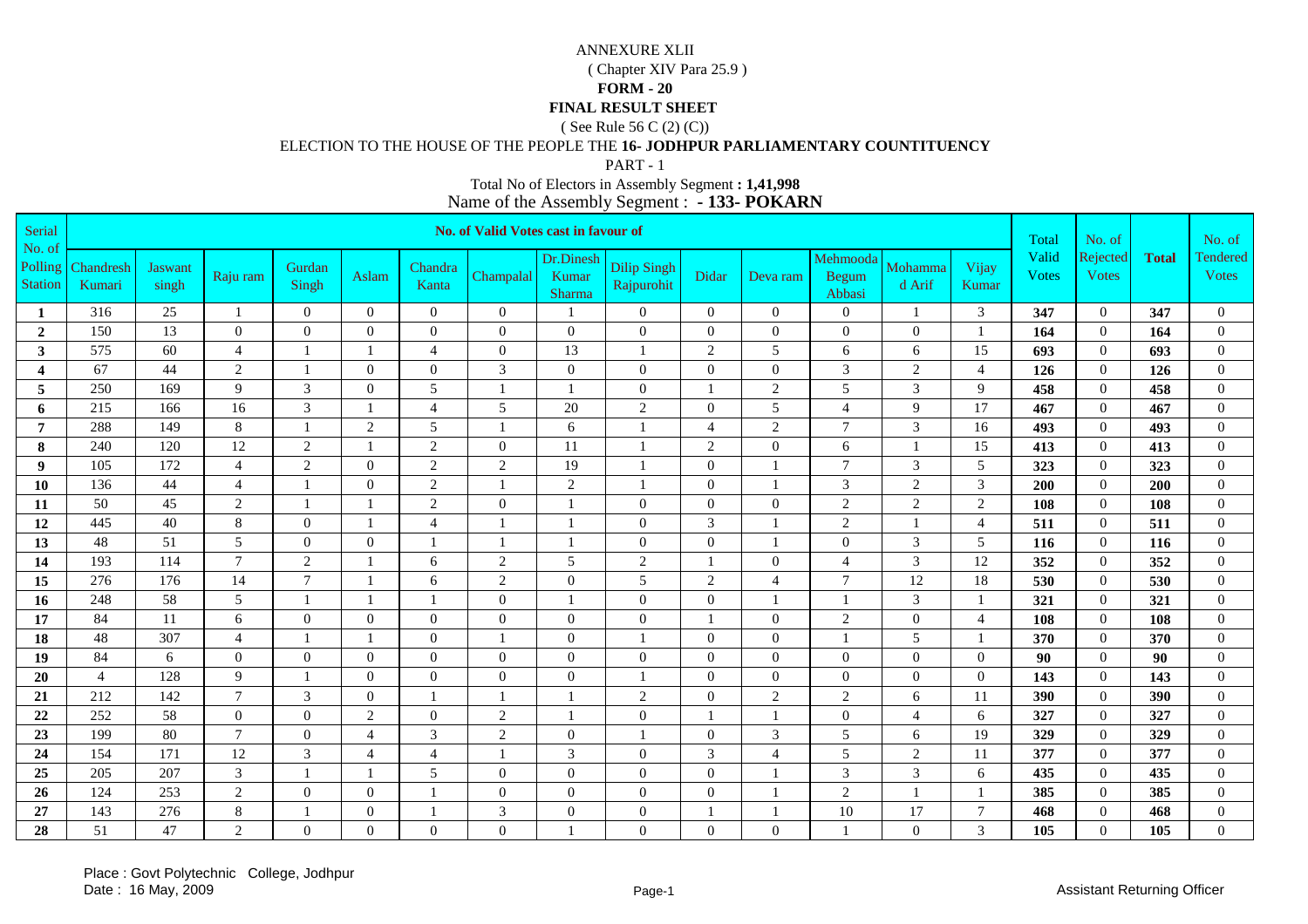( Chapter XIV Para 25.9 )

#### **FORM - 20**

### **FINAL RESULT SHEET**

( See Rule 56 C (2) (C))

## ELECTION TO THE HOUSE OF THE PEOPLE THE **16- JODHPUR PARLIAMENTARY COUNTITUENCY**

PART - 1

| Serial                              |                     |                  |                 |                  |                |                  | <b>No. of Valid Votes cast in favour of</b> |                              |                                  |                |                |                             |                   |                  | Total                 | No. of                    |              | No. of                          |
|-------------------------------------|---------------------|------------------|-----------------|------------------|----------------|------------------|---------------------------------------------|------------------------------|----------------------------------|----------------|----------------|-----------------------------|-------------------|------------------|-----------------------|---------------------------|--------------|---------------------------------|
| No. of<br>Polling<br><b>Station</b> | Chandresh<br>Kumari | Jaswant<br>singh | Raju ram        | Gurdan<br>Singh  | Aslam          | Chandra<br>Kanta | Champalal                                   | Dr.Dinesh<br>Kumar<br>Sharma | <b>Dilip Singh</b><br>Rajpurohit | Didar          | Deva ram       | Mehmooda<br>Begum<br>Abbasi | Mohamma<br>d Arif | Vijay<br>Kumar   | Valid<br><b>Votes</b> | Rejected<br><b>V</b> otes | <b>Total</b> | <b>Tendered</b><br><b>Votes</b> |
| 1                                   | 316                 | 25               | $\mathbf{1}$    | $\theta$         | $\Omega$       | $\overline{0}$   | $\Omega$                                    |                              | $\overline{0}$                   | $\overline{0}$ | $\overline{0}$ | $\mathbf{0}$                | $\mathbf{1}$      | $\mathfrak{Z}$   | 347                   | $\theta$                  | 347          | $\overline{0}$                  |
| $\overline{2}$                      | 150                 | 13               | $\overline{0}$  | $\mathbf{0}$     | $\theta$       | $\overline{0}$   | $\overline{0}$                              | $\overline{0}$               | $\overline{0}$                   | $\overline{0}$ | $\mathbf{0}$   | $\mathbf{0}$                | $\mathbf{0}$      | $\mathbf{1}$     | 164                   | $\mathbf{0}$              | 164          | $\overline{0}$                  |
| 3                                   | 575                 | 60               | $\overline{4}$  | $\mathbf{1}$     | $\mathbf{1}$   | $\overline{4}$   | $\mathbf{0}$                                | 13                           |                                  | $\overline{2}$ | 5              | $6\,$                       | $\sqrt{6}$        | 15               | 693                   | $\mathbf{0}$              | 693          | $\mathbf{0}$                    |
| $\overline{\mathbf{4}}$             | 67                  | 44               | 2               | $\mathbf{1}$     | $\overline{0}$ | $\overline{0}$   | 3                                           | $\overline{0}$               | $\overline{0}$                   | $\overline{0}$ | $\overline{0}$ | 3                           | $\sqrt{2}$        | $\overline{4}$   | 126                   | $\mathbf{0}$              | 126          | $\overline{0}$                  |
| 5                                   | 250                 | 169              | 9               | 3                | $\mathbf{0}$   | 5                | $\mathbf{1}$                                | $\mathbf{1}$                 | $\mathbf{0}$                     |                | $\overline{2}$ | 5                           | $\mathfrak{Z}$    | 9                | 458                   | $\mathbf{0}$              | 458          | $\overline{0}$                  |
| 6                                   | 215                 | 166              | 16              | 3                |                | $\overline{4}$   | 5                                           | 20                           | $\sqrt{2}$                       | $\theta$       | 5              | $\overline{4}$              | 9                 | 17               | 467                   | $\theta$                  | 467          | $\theta$                        |
| $\overline{7}$                      | 288                 | 149              | $\,8\,$         | $\mathbf{1}$     | $\overline{2}$ | $\mathfrak{S}$   | $\mathbf{1}$                                | 6                            |                                  | $\overline{4}$ | $\overline{2}$ | $\tau$                      | $\overline{3}$    | 16               | 493                   | $\mathbf{0}$              | 493          | $\boldsymbol{0}$                |
| 8                                   | 240                 | 120              | 12              | $\sqrt{2}$       | 1              | $\overline{2}$   | $\theta$                                    | 11                           |                                  | $\overline{2}$ | $\overline{0}$ | $6\,$                       | $\mathbf{1}$      | 15               | 413                   | $\theta$                  | 413          | $\boldsymbol{0}$                |
| 9                                   | 105                 | 172              | $\overline{4}$  | $\overline{2}$   | $\overline{0}$ | $\overline{2}$   | $\sqrt{2}$                                  | 19                           |                                  | $\overline{0}$ |                | $\tau$                      | $\mathfrak{Z}$    | $\sqrt{5}$       | 323                   | $\mathbf{0}$              | 323          | $\mathbf{0}$                    |
| 10                                  | 136                 | 44               | $\overline{4}$  | $\mathbf{1}$     | $\mathbf{0}$   | $\sqrt{2}$       | $\mathbf{1}$                                | $\sqrt{2}$                   |                                  | $\overline{0}$ |                | 3                           | $\sqrt{2}$        | $\mathfrak{Z}$   | 200                   | $\theta$                  | 200          | $\boldsymbol{0}$                |
| 11                                  | 50                  | 45               | 2               | $\mathbf{1}$     | $\mathbf{1}$   | $\sqrt{2}$       | $\overline{0}$                              | 1                            | $\overline{0}$                   | $\overline{0}$ | $\mathbf{0}$   | $\sqrt{2}$                  | $\sqrt{2}$        | $\sqrt{2}$       | 108                   | $\mathbf{0}$              | 108          | $\mathbf{0}$                    |
| 12                                  | 445                 | 40               | $\,8\,$         | $\mathbf{0}$     |                | $\overline{4}$   | $\mathbf{1}$                                |                              | $\mathbf{0}$                     | 3              |                | $\sqrt{2}$                  | $\mathbf{1}$      | $\overline{4}$   | 511                   | $\overline{0}$            | 511          | $\overline{0}$                  |
| 13                                  | 48                  | 51               | 5               | $\boldsymbol{0}$ | $\theta$       | $\mathbf{1}$     | 1                                           |                              | $\mathbf{0}$                     | $\overline{0}$ |                | $\boldsymbol{0}$            | $\mathfrak{Z}$    | $\sqrt{5}$       | 116                   | $\overline{0}$            | 116          | $\boldsymbol{0}$                |
| 14                                  | 193                 | 114              | $7\phantom{.0}$ | $\overline{c}$   | $\mathbf{1}$   | 6                | $\overline{2}$                              | 5                            | $\mathfrak{2}$                   |                | $\mathbf{0}$   | $\overline{4}$              | 3                 | 12               | 352                   | $\mathbf{0}$              | 352          | $\mathbf{0}$                    |
| 15                                  | 276                 | 176              | 14              | $7\phantom{.0}$  |                | 6                | $\overline{2}$                              | $\boldsymbol{0}$             | 5                                | $\overline{2}$ | 4              | $\tau$                      | 12                | 18               | 530                   | $\overline{0}$            | 530          | $\mathbf{0}$                    |
| 16                                  | 248                 | 58               | 5               | $\overline{1}$   | $\mathbf{1}$   | $\mathbf{1}$     | $\boldsymbol{0}$                            | $\overline{1}$               | $\mathbf{0}$                     | $\overline{0}$ |                |                             | $\mathfrak{Z}$    | 1                | 321                   | $\mathbf{0}$              | 321          | $\mathbf{0}$                    |
| 17                                  | 84                  | 11               | 6               | $\boldsymbol{0}$ | $\overline{0}$ | $\overline{0}$   | $\mathbf{0}$                                | $\boldsymbol{0}$             | $\overline{0}$                   |                | $\mathbf{0}$   | $\sqrt{2}$                  | $\mathbf{0}$      | $\overline{4}$   | 108                   | $\mathbf{0}$              | 108          | $\mathbf{0}$                    |
| 18                                  | 48                  | 307              | $\overline{4}$  | $\mathbf{1}$     | $\mathbf{1}$   | $\mathbf{0}$     | -1                                          | $\overline{0}$               |                                  | $\overline{0}$ | $\mathbf{0}$   |                             | $\sqrt{5}$        | $\mathbf{1}$     | 370                   | $\mathbf{0}$              | 370          | $\boldsymbol{0}$                |
| 19                                  | 84                  | 6                | $\overline{0}$  | $\boldsymbol{0}$ | $\mathbf{0}$   | $\overline{0}$   | $\mathbf{0}$                                | $\overline{0}$               | $\mathbf{0}$                     | $\overline{0}$ | $\overline{0}$ | $\boldsymbol{0}$            | $\boldsymbol{0}$  | $\boldsymbol{0}$ | 90                    | $\overline{0}$            | 90           | $\boldsymbol{0}$                |
| 20                                  | $\overline{4}$      | 128              | 9               | $\overline{1}$   | $\mathbf{0}$   | $\mathbf{0}$     | $\boldsymbol{0}$                            | $\boldsymbol{0}$             |                                  | $\overline{0}$ | $\mathbf{0}$   | $\boldsymbol{0}$            | $\boldsymbol{0}$  | $\boldsymbol{0}$ | 143                   | $\mathbf{0}$              | 143          | $\boldsymbol{0}$                |
| 21                                  | 212                 | 142              | $\overline{7}$  | 3                | $\mathbf{0}$   | $\mathbf{1}$     | 1                                           |                              | $\overline{2}$                   | $\overline{0}$ | $\overline{2}$ | $\mathbf{2}$                | $6\,$             | 11               | 390                   | $\overline{0}$            | 390          | $\overline{0}$                  |
| 22                                  | 252                 | 58               | $\overline{0}$  | $\mathbf{0}$     | 2              | $\overline{0}$   | $\overline{2}$                              | 1                            | $\mathbf{0}$                     |                |                | $\mathbf{0}$                | $\overline{4}$    | 6                | 327                   | $\overline{0}$            | 327          | $\theta$                        |
| 23                                  | 199                 | 80               | $7\phantom{.0}$ | $\mathbf{0}$     | $\overline{4}$ | $\mathfrak{Z}$   | $\overline{2}$                              | $\overline{0}$               |                                  | $\Omega$       | 3              | 5                           | 6                 | 19               | 329                   | $\theta$                  | 329          | $\overline{0}$                  |
| 24                                  | 154                 | 171              | 12              | $\mathfrak{Z}$   | $\overline{4}$ | $\overline{4}$   | $\mathbf{1}$                                | $\mathfrak{Z}$               | $\mathbf{0}$                     | $\mathfrak{Z}$ | $\overline{4}$ | $\sqrt{5}$                  | $\sqrt{2}$        | 11               | 377                   | $\theta$                  | 377          | $\mathbf{0}$                    |
| 25                                  | 205                 | 207              | $\overline{3}$  | $\mathbf{1}$     | $\overline{1}$ | 5                | $\mathbf{0}$                                | $\mathbf{0}$                 | $\Omega$                         | $\Omega$       |                | $\overline{3}$              | $\overline{3}$    | 6                | 435                   | $\theta$                  | 435          | $\mathbf{0}$                    |
| 26                                  | 124                 | 253              | $\overline{2}$  | $\boldsymbol{0}$ | $\overline{0}$ | $\mathbf{1}$     | $\mathbf{0}$                                | $\boldsymbol{0}$             | $\mathbf{0}$                     | $\overline{0}$ |                | $\sqrt{2}$                  | $\mathbf{1}$      | $\mathbf{1}$     | 385                   | $\mathbf{0}$              | 385          | $\mathbf{0}$                    |
| 27                                  | 143                 | 276              | $\,8\,$         | $\mathbf{1}$     | $\mathbf{0}$   | $\mathbf{1}$     | $\mathfrak{Z}$                              | $\boldsymbol{0}$             | $\mathbf{0}$                     |                |                | $10\,$                      | 17                | $\boldsymbol{7}$ | 468                   | $\mathbf{0}$              | 468          | $\boldsymbol{0}$                |
| 28                                  | 51                  | 47               | $\overline{2}$  | $\theta$         | $\mathbf{0}$   | $\overline{0}$   | $\overline{0}$                              |                              | $\Omega$                         | $\overline{0}$ | $\Omega$       |                             | $\overline{0}$    | $\mathfrak{Z}$   | 105                   | $\Omega$                  | 105          | $\overline{0}$                  |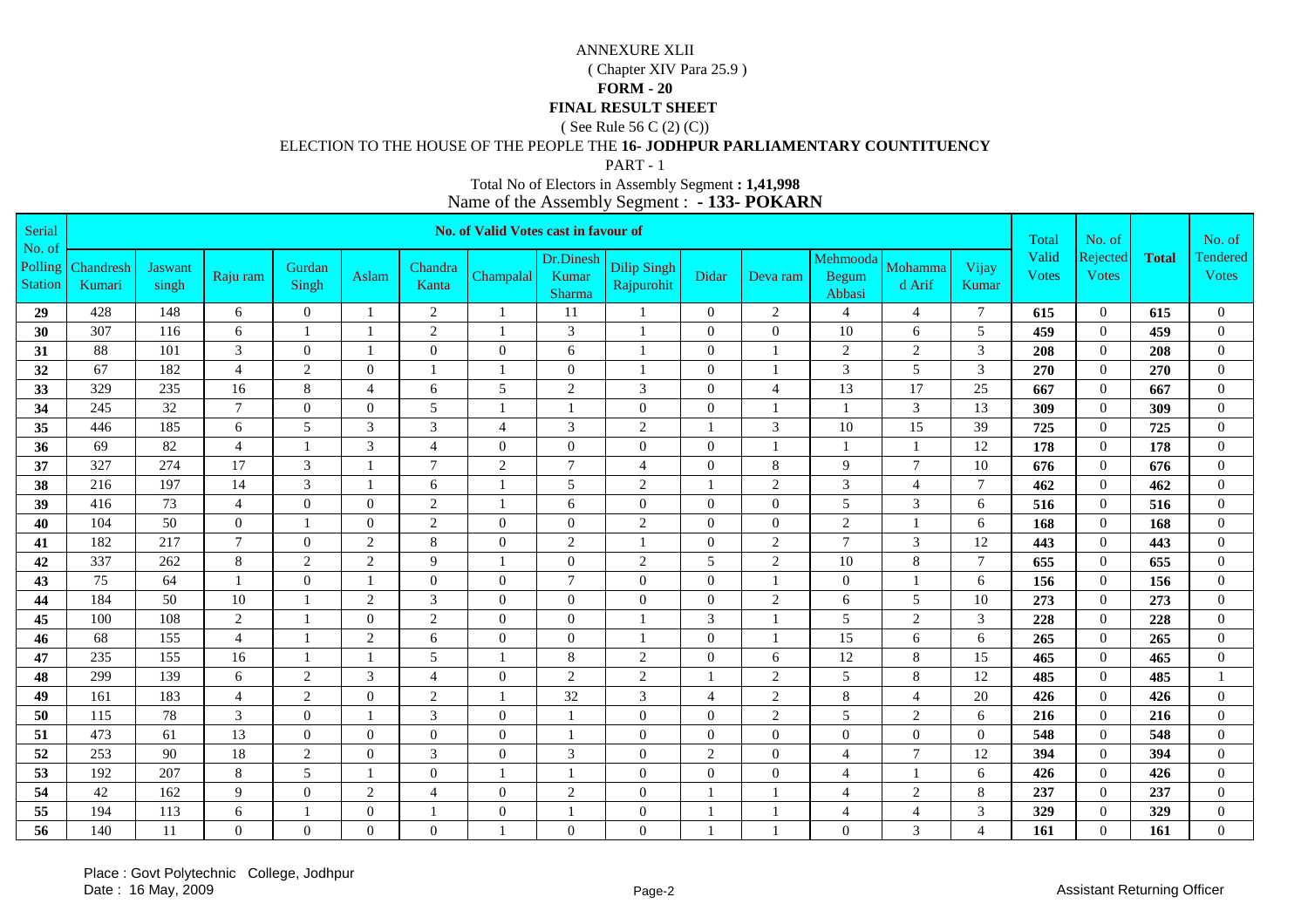( Chapter XIV Para 25.9 )

#### **FORM - 20**

### **FINAL RESULT SHEET**

( See Rule 56 C (2) (C))

## ELECTION TO THE HOUSE OF THE PEOPLE THE **16- JODHPUR PARLIAMENTARY COUNTITUENCY**

PART - 1

| Serial                              |                     |                  |                 |                  |                  |                  | <b>No. of Valid Votes cast in favour of</b> |                              |                                  |                  |                  |                             |                   |                  | Total                 | No. of                    |              | No. of                          |
|-------------------------------------|---------------------|------------------|-----------------|------------------|------------------|------------------|---------------------------------------------|------------------------------|----------------------------------|------------------|------------------|-----------------------------|-------------------|------------------|-----------------------|---------------------------|--------------|---------------------------------|
| No. of<br>Polling<br><b>Station</b> | Chandresh<br>Kumari | Jaswant<br>singh | Raju ram        | Gurdan<br>Singh  | Aslam            | Chandra<br>Kanta | Champalal                                   | Dr.Dinesh<br>Kumar<br>Sharma | <b>Dilip Singh</b><br>Rajpurohit | Didar            | Deva ram         | Mehmooda<br>Begum<br>Abbasi | Mohamma<br>d Arif | Vijay<br>Kumar   | Valid<br><b>Votes</b> | Rejected<br><b>V</b> otes | <b>Total</b> | <b>Tendered</b><br><b>Votes</b> |
| 29                                  | 428                 | 148              | 6               | $\theta$         | $\mathbf{1}$     | $\overline{2}$   | $\mathbf{1}$                                | 11                           |                                  | $\overline{0}$   | $\overline{2}$   | 4                           | 4                 | $\tau$           | 615                   | $\overline{0}$            | 615          | $\overline{0}$                  |
| 30                                  | 307                 | 116              | 6               | $\mathbf{1}$     | -1               | 2                | $\mathbf{1}$                                | $\mathfrak{Z}$               |                                  | $\overline{0}$   | $\mathbf{0}$     | 10                          | 6                 | $\mathfrak{S}$   | 459                   | $\mathbf{0}$              | 459          | $\overline{0}$                  |
| 31                                  | 88                  | 101              | $\mathfrak{Z}$  | $\mathbf{0}$     | $\mathbf{1}$     | $\mathbf{0}$     | $\mathbf{0}$                                | 6                            |                                  | $\overline{0}$   |                  | $\sqrt{2}$                  | $\sqrt{2}$        | $\mathfrak{Z}$   | 208                   | $\mathbf{0}$              | 208          | $\mathbf{0}$                    |
| 32                                  | 67                  | 182              | $\overline{4}$  | $\overline{2}$   | $\theta$         | $\mathbf{1}$     | $\mathbf{1}$                                | $\overline{0}$               |                                  | $\overline{0}$   |                  | 3                           | $\sqrt{5}$        | $\mathfrak{Z}$   | 270                   | $\mathbf{0}$              | 270          | $\overline{0}$                  |
| 33                                  | 329                 | 235              | 16              | 8                | $\overline{4}$   | 6                | 5                                           | 2                            | 3                                | $\overline{0}$   | $\overline{4}$   | 13                          | 17                | 25               | 667                   | $\mathbf{0}$              | 667          | $\overline{0}$                  |
| 34                                  | 245                 | 32               | $7\phantom{.0}$ | $\theta$         | $\Omega$         | 5                | $\mathbf{1}$                                | 1                            | $\Omega$                         | $\theta$         |                  |                             | $\mathfrak{Z}$    | 13               | 309                   | $\theta$                  | 309          | $\theta$                        |
| 35                                  | 446                 | 185              | 6               | 5                | 3                | $\mathfrak{Z}$   | $\overline{4}$                              | $\mathfrak{Z}$               | 2                                |                  | $\mathfrak{Z}$   | 10                          | $\overline{15}$   | 39               | 725                   | $\mathbf{0}$              | 725          | $\boldsymbol{0}$                |
| 36                                  | 69                  | 82               | $\overline{4}$  | $\mathbf{1}$     | 3                | $\overline{4}$   | $\overline{0}$                              | $\mathbf{0}$                 | $\mathbf{0}$                     | $\overline{0}$   |                  |                             | $\mathbf{1}$      | 12               | 178                   | $\theta$                  | 178          | $\boldsymbol{0}$                |
| 37                                  | 327                 | 274              | 17              | $\mathfrak{Z}$   | $\overline{1}$   | $\tau$           | $\sqrt{2}$                                  | $7\phantom{.0}$              | 4                                | $\overline{0}$   | 8                | 9                           | $\boldsymbol{7}$  | 10               | 676                   | $\mathbf{0}$              | 676          | $\mathbf{0}$                    |
| 38                                  | 216                 | 197              | 14              | $\overline{3}$   | $\overline{1}$   | 6                | $\mathbf{1}$                                | 5                            | $\sqrt{2}$                       |                  | $\sqrt{2}$       | 3                           | $\overline{4}$    | $\boldsymbol{7}$ | 462                   | $\theta$                  | 462          | $\boldsymbol{0}$                |
| 39                                  | 416                 | 73               | $\overline{4}$  | $\overline{0}$   | $\theta$         | $\sqrt{2}$       | $\mathbf{1}$                                | 6                            | $\mathbf{0}$                     | $\overline{0}$   | $\mathbf{0}$     | $\sqrt{5}$                  | $\mathfrak{Z}$    | 6                | 516                   | $\mathbf{0}$              | 516          | $\mathbf{0}$                    |
| 40                                  | 104                 | 50               | $\mathbf{0}$    | $\mathbf{1}$     | $\overline{0}$   | $\overline{2}$   | $\mathbf{0}$                                | $\mathbf{0}$                 | $\sqrt{2}$                       | $\overline{0}$   | $\overline{0}$   | $\sqrt{2}$                  | $\mathbf{1}$      | 6                | 168                   | $\overline{0}$            | 168          | $\overline{0}$                  |
| 41                                  | 182                 | 217              | $\overline{7}$  | $\boldsymbol{0}$ | $\overline{2}$   | $8\,$            | $\boldsymbol{0}$                            | 2                            |                                  | $\overline{0}$   | $\overline{2}$   | $\tau$                      | $\mathfrak{Z}$    | 12               | 443                   | $\overline{0}$            | 443          | $\boldsymbol{0}$                |
| 42                                  | 337                 | 262              | $\,8\,$         | $\overline{2}$   | $\overline{2}$   | 9                | $\mathbf{1}$                                | $\boldsymbol{0}$             | $\overline{2}$                   | 5                | $\overline{2}$   | 10                          | $8\,$             | $\overline{7}$   | 655                   | $\mathbf{0}$              | 655          | $\mathbf{0}$                    |
| 43                                  | 75                  | 64               |                 | $\overline{0}$   |                  | $\mathbf{0}$     | $\overline{0}$                              | $\overline{7}$               | $\mathbf{0}$                     | $\mathbf{0}$     |                  | $\mathbf{0}$                | $\mathbf{1}$      | 6                | 156                   | $\theta$                  | 156          | $\mathbf{0}$                    |
| 44                                  | 184                 | 50               | 10              | $\mathbf{1}$     | 2                | $\overline{3}$   | $\overline{0}$                              | $\boldsymbol{0}$             | $\mathbf{0}$                     | $\overline{0}$   | $\overline{2}$   | 6                           | 5                 | $10\,$           | 273                   | $\mathbf{0}$              | 273          | $\mathbf{0}$                    |
| 45                                  | 100                 | 108              | $\overline{2}$  |                  | $\overline{0}$   | $\sqrt{2}$       | $\mathbf{0}$                                | $\mathbf{0}$                 |                                  | 3                |                  | 5                           | $\sqrt{2}$        | $\mathfrak{Z}$   | 228                   | $\mathbf{0}$              | 228          | $\mathbf{0}$                    |
| 46                                  | 68                  | 155              | $\overline{4}$  | $\mathbf{1}$     | $\overline{2}$   | 6                | $\overline{0}$                              | $\overline{0}$               |                                  | $\overline{0}$   |                  | 15                          | $6\,$             | 6                | 265                   | $\mathbf{0}$              | 265          | $\boldsymbol{0}$                |
| 47                                  | 235                 | 155              | 16              | $\mathbf{1}$     |                  | 5                | $\mathbf{1}$                                | $8\,$                        | $\sqrt{2}$                       | $\boldsymbol{0}$ | 6                | 12                          | $8\,$             | 15               | 465                   | $\overline{0}$            | 465          | $\boldsymbol{0}$                |
| 48                                  | 299                 | 139              | 6               | $\sqrt{2}$       | $\mathfrak{Z}$   | $\overline{4}$   | $\boldsymbol{0}$                            | 2                            | $\sqrt{2}$                       |                  | $\sqrt{2}$       | $\sqrt{5}$                  | $\,8\,$           | 12               | 485                   | $\mathbf{0}$              | 485          |                                 |
| 49                                  | 161                 | 183              | $\overline{4}$  | $\overline{c}$   | $\mathbf{0}$     | 2                | -1                                          | 32                           | 3                                | $\overline{4}$   | $\overline{2}$   | 8                           | $\overline{4}$    | 20               | 426                   | $\mathbf{0}$              | 426          | $\overline{0}$                  |
| 50                                  | 115                 | 78               | $\mathfrak{Z}$  | $\mathbf{0}$     | $\mathbf{1}$     | $\mathfrak{Z}$   | $\overline{0}$                              | 1                            | $\mathbf{0}$                     | $\overline{0}$   | 2                | 5                           | $\sqrt{2}$        | 6                | 216                   | $\overline{0}$            | 216          | $\theta$                        |
| 51                                  | 473                 | 61               | 13              | $\mathbf{0}$     | $\mathbf{0}$     | $\overline{0}$   | $\overline{0}$                              |                              | $\mathbf{0}$                     | $\theta$         | $\mathbf{0}$     | $\mathbf{0}$                | $\boldsymbol{0}$  | $\mathbf{0}$     | 548                   | $\theta$                  | 548          | $\overline{0}$                  |
| 52                                  | 253                 | 90               | 18              | $\overline{c}$   | $\overline{0}$   | $\mathfrak{Z}$   | $\mathbf{0}$                                | $\mathfrak{Z}$               | $\mathbf{0}$                     | $\overline{2}$   | $\mathbf{0}$     | $\overline{4}$              | $\boldsymbol{7}$  | $12\,$           | 394                   | $\theta$                  | 394          | $\mathbf{0}$                    |
| 53                                  | 192                 | 207              | 8               | 5                | $\overline{1}$   | $\mathbf{0}$     | $\mathbf{1}$                                | $\mathbf{1}$                 | $\Omega$                         | $\mathbf{0}$     | $\boldsymbol{0}$ | $\overline{4}$              | $\mathbf{1}$      | 6                | 426                   | $\theta$                  | 426          | $\mathbf{0}$                    |
| 54                                  | 42                  | 162              | 9               | $\boldsymbol{0}$ | $\sqrt{2}$       | $\overline{4}$   | $\mathbf{0}$                                | $\overline{c}$               | $\mathbf{0}$                     |                  |                  | $\overline{4}$              | $\sqrt{2}$        | $8\,$            | 237                   | $\mathbf{0}$              | 237          | $\mathbf{0}$                    |
| 55                                  | 194                 | 113              | 6               | $\mathbf{1}$     | $\boldsymbol{0}$ | $\mathbf{1}$     | $\boldsymbol{0}$                            | -1                           | $\Omega$                         |                  |                  | $\overline{4}$              | $\overline{4}$    | $\mathfrak{Z}$   | 329                   | $\mathbf{0}$              | 329          | $\boldsymbol{0}$                |
| 56                                  | 140                 | 11               | $\overline{0}$  | $\theta$         | $\Omega$         | $\overline{0}$   |                                             | $\overline{0}$               | $\Omega$                         |                  |                  | $\mathbf{0}$                | 3                 | $\overline{4}$   | 161                   | $\Omega$                  | 161          | $\overline{0}$                  |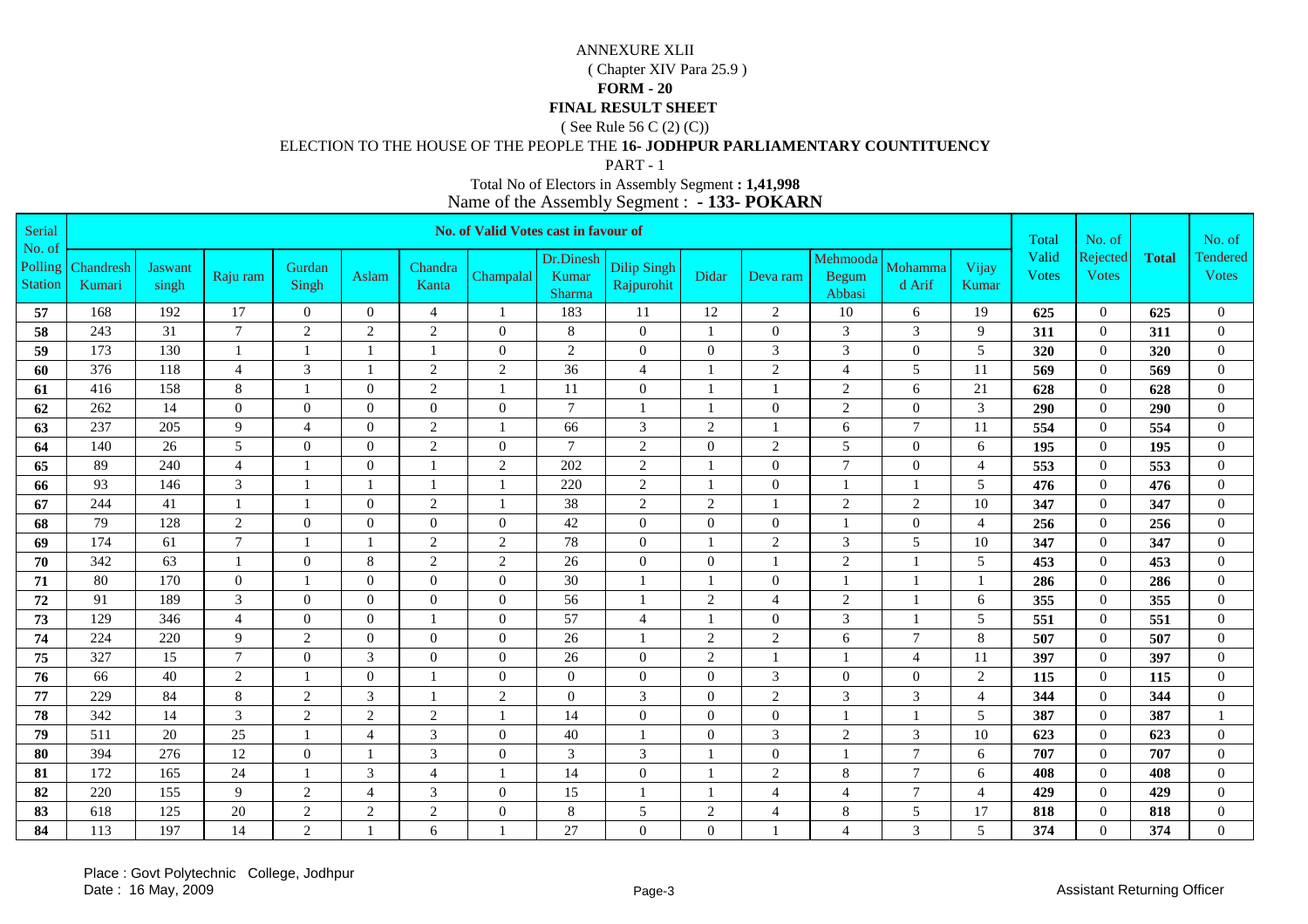( Chapter XIV Para 25.9 )

#### **FORM - 20**

### **FINAL RESULT SHEET**

( See Rule 56 C (2) (C))

## ELECTION TO THE HOUSE OF THE PEOPLE THE **16- JODHPUR PARLIAMENTARY COUNTITUENCY**

PART - 1

| Serial                              |                     |                         |                |                 |                |                  | <b>No. of Valid Votes cast in favour of</b> |                              |                                  |                |                          |                                    |                   |                | Total                  | No. of                    |              | No. of                          |
|-------------------------------------|---------------------|-------------------------|----------------|-----------------|----------------|------------------|---------------------------------------------|------------------------------|----------------------------------|----------------|--------------------------|------------------------------------|-------------------|----------------|------------------------|---------------------------|--------------|---------------------------------|
| No. of<br>Polling<br><b>Station</b> | Chandresh<br>Kumari | <b>Jaswant</b><br>singh | Raju ram       | Gurdan<br>Singh | Aslam          | Chandra<br>Kanta | Champalal                                   | Dr.Dinesh<br>Kumar<br>Sharma | <b>Dilip Singh</b><br>Rajpurohit | Didar          | Deva ram                 | Mehmooda<br><b>Begum</b><br>Abbasi | Mohamma<br>d Arif | Vijay<br>Kumar | Valid<br><b>V</b> otes | Rejected<br><b>V</b> otes | <b>Total</b> | <b>Tendered</b><br><b>Votes</b> |
| 57                                  | 168                 | 192                     | 17             | $\theta$        | $\theta$       | $\overline{4}$   | $\mathbf{1}$                                | 183                          | 11                               | 12             | $\overline{2}$           | 10                                 | 6                 | 19             | 625                    | $\mathbf{0}$              | 625          | $\overline{0}$                  |
| 58                                  | 243                 | 31                      | $\overline{7}$ | $\overline{c}$  | $\overline{2}$ | 2                | $\overline{0}$                              | 8                            | $\overline{0}$                   |                | $\mathbf{0}$             | 3                                  | $\mathfrak{Z}$    | 9              | 311                    | $\mathbf{0}$              | 311          | $\overline{0}$                  |
| 59                                  | 173                 | 130                     | $\mathbf{1}$   | $\mathbf{1}$    |                | $\mathbf{1}$     | $\mathbf{0}$                                | $\sqrt{2}$                   | $\overline{0}$                   | $\mathbf{0}$   | 3                        | $\mathfrak{Z}$                     | $\boldsymbol{0}$  | 5              | 320                    | $\mathbf{0}$              | 320          | $\mathbf{0}$                    |
| 60                                  | 376                 | 118                     | $\overline{4}$ | 3               |                | 2                | $\overline{2}$                              | 36                           | $\overline{4}$                   |                | $\overline{c}$           | $\overline{4}$                     | 5                 | 11             | 569                    | $\mathbf{0}$              | 569          | $\overline{0}$                  |
| 61                                  | 416                 | 158                     | 8              | $\mathbf{1}$    | $\overline{0}$ | 2                | 1                                           | 11                           | $\overline{0}$                   |                |                          | $\overline{c}$                     | 6                 | 21             | 628                    | $\mathbf{0}$              | 628          | $\overline{0}$                  |
| 62                                  | 262                 | 14                      | $\overline{0}$ | $\theta$        | $\Omega$       | $\overline{0}$   | $\overline{0}$                              | $7\phantom{.0}$              |                                  |                | $\Omega$                 | $\sqrt{2}$                         | $\overline{0}$    | 3              | 290                    | $\Omega$                  | 290          | $\theta$                        |
| 63                                  | 237                 | 205                     | 9              | $\overline{4}$  | $\theta$       | 2                | $\mathbf{1}$                                | 66                           | 3                                | $\overline{2}$ |                          | 6                                  | $\overline{7}$    | 11             | 554                    | $\mathbf{0}$              | 554          | $\boldsymbol{0}$                |
| 64                                  | 140                 | 26                      | 5              | $\mathbf{0}$    | $\theta$       | $\overline{2}$   | $\Omega$                                    | $\overline{7}$               | $\overline{2}$                   | $\overline{0}$ | $\overline{2}$           | 5                                  | $\boldsymbol{0}$  | 6              | 195                    | $\Omega$                  | 195          | $\mathbf{0}$                    |
| 65                                  | 89                  | 240                     | $\overline{4}$ |                 | $\overline{0}$ |                  | $\sqrt{2}$                                  | 202                          | $\mathbf{2}$                     |                | $\mathbf{0}$             | $7\phantom{.0}$                    | $\boldsymbol{0}$  | $\overline{4}$ | 553                    | $\mathbf{0}$              | 553          | $\mathbf{0}$                    |
| 66                                  | 93                  | 146                     | 3              |                 |                |                  | $\mathbf{1}$                                | 220                          | $\sqrt{2}$                       |                | $\overline{0}$           |                                    | $\mathbf{1}$      | $\mathfrak{S}$ | 476                    | $\Omega$                  | 476          | $\boldsymbol{0}$                |
| 67                                  | 244                 | 41                      | $\overline{1}$ | $\mathbf{1}$    | $\theta$       | 2                | 1                                           | 38                           | $\overline{c}$                   | $\overline{2}$ |                          | $\sqrt{2}$                         | $\sqrt{2}$        | 10             | 347                    | $\mathbf{0}$              | 347          | $\mathbf{0}$                    |
| 68                                  | 79                  | 128                     | $\overline{2}$ | $\overline{0}$  | $\theta$       | $\mathbf{0}$     | $\boldsymbol{0}$                            | 42                           | $\overline{0}$                   | $\overline{0}$ | $\overline{0}$           |                                    | $\boldsymbol{0}$  | $\overline{4}$ | 256                    | $\mathbf{0}$              | 256          | $\overline{0}$                  |
| 69                                  | 174                 | 61                      | $\overline{7}$ | -1              |                | $\overline{c}$   | $\sqrt{2}$                                  | $78\,$                       | $\overline{0}$                   |                | $\overline{c}$           | 3                                  | 5                 | 10             | 347                    | $\overline{0}$            | 347          | $\boldsymbol{0}$                |
| 70                                  | 342                 | 63                      | $\mathbf{1}$   | $\overline{0}$  | $\,8\,$        | $\overline{2}$   | $\overline{2}$                              | 26                           | $\Omega$                         | $\overline{0}$ |                          | $\overline{2}$                     | $\mathbf{1}$      | 5              | 453                    | $\mathbf{0}$              | 453          | $\mathbf{0}$                    |
| 71                                  | 80                  | 170                     | $\overline{0}$ | $\mathbf{1}$    | $\theta$       | $\overline{0}$   | $\mathbf{0}$                                | 30                           |                                  |                | $\overline{0}$           |                                    | $\mathbf{1}$      | 1              | 286                    | $\theta$                  | 286          | $\mathbf{0}$                    |
| 72                                  | 91                  | 189                     | $\mathfrak{Z}$ | $\overline{0}$  | $\overline{0}$ | $\overline{0}$   | $\mathbf{0}$                                | 56                           |                                  | 2              | 4                        | 2                                  | $\mathbf{1}$      | 6              | 355                    | $\mathbf{0}$              | 355          | $\overline{0}$                  |
| 73                                  | 129                 | 346                     | $\overline{4}$ | $\mathbf{0}$    | $\overline{0}$ |                  | $\mathbf{0}$                                | 57                           | 4                                |                | $\mathbf{0}$             | $\mathfrak{Z}$                     | $\mathbf{1}$      | 5              | 551                    | $\mathbf{0}$              | 551          | $\mathbf{0}$                    |
| 74                                  | 224                 | 220                     | 9              | $\mathbf{2}$    | $\overline{0}$ | $\overline{0}$   | $\overline{0}$                              | 26                           | $\mathbf{1}$                     | $\overline{2}$ | $\overline{c}$           | 6                                  | $\overline{7}$    | $\,8\,$        | 507                    | $\mathbf{0}$              | 507          | $\boldsymbol{0}$                |
| 75                                  | 327                 | 15                      | $\overline{7}$ | $\mathbf{0}$    | 3              | $\overline{0}$   | $\mathbf{0}$                                | 26                           | $\overline{0}$                   | $\overline{2}$ |                          |                                    | $\overline{4}$    | 11             | 397                    | $\mathbf{0}$              | 397          | $\theta$                        |
| 76                                  | 66                  | 40                      | $\sqrt{2}$     | -1              | $\theta$       | $\mathbf{1}$     | $\mathbf{0}$                                | $\overline{0}$               | $\overline{0}$                   | $\mathbf{0}$   | $\mathfrak{Z}$           | $\mathbf{0}$                       | $\boldsymbol{0}$  | $\sqrt{2}$     | 115                    | $\theta$                  | 115          | $\boldsymbol{0}$                |
| 77                                  | 229                 | 84                      | $\,8\,$        | $\mathbf{2}$    | 3              |                  | $\mathbf{2}$                                | $\overline{0}$               | 3                                | $\mathbf{0}$   | $\overline{2}$           | 3                                  | 3                 | $\overline{4}$ | 344                    | $\mathbf{0}$              | 344          | $\overline{0}$                  |
| 78                                  | 342                 | 14                      | $\mathfrak{Z}$ | $\mathbf{2}$    | 2              | 2                | -1                                          | 14                           | $\Omega$                         | $\mathbf{0}$   | $\mathbf{0}$             |                                    | $\mathbf{1}$      | 5              | 387                    | $\theta$                  | 387          | $\mathbf{1}$                    |
| 79                                  | 511                 | 20                      | 25             |                 | $\overline{4}$ | 3                | $\mathbf{0}$                                | 40                           |                                  | $\Omega$       | 3                        | $\mathbf{2}$                       | 3                 | 10             | 623                    | $\Omega$                  | 623          | $\overline{0}$                  |
| 80                                  | 394                 | 276                     | 12             | $\overline{0}$  |                | $\mathfrak{Z}$   | $\overline{0}$                              | $\mathfrak{Z}$               | 3                                |                | $\mathbf{0}$             |                                    | $\overline{7}$    | $6\,$          | 707                    | $\Omega$                  | 707          | $\mathbf{0}$                    |
| 81                                  | 172                 | 165                     | 24             | $\mathbf{1}$    | 3              | $\overline{4}$   | $\mathbf{1}$                                | 14                           | $\Omega$                         |                | $\overline{2}$           | 8                                  | $\overline{7}$    | 6              | 408                    | $\Omega$                  | 408          | $\mathbf{0}$                    |
| 82                                  | 220                 | 155                     | 9              | $\overline{c}$  | $\overline{4}$ | $\mathfrak{Z}$   | $\boldsymbol{0}$                            | 15                           | $\mathbf{1}$                     |                | $\overline{4}$           | $\overline{4}$                     | $\tau$            | $\overline{4}$ | 429                    | $\mathbf{0}$              | 429          | $\boldsymbol{0}$                |
| 83                                  | 618                 | 125                     | 20             | $\sqrt{2}$      | $\mathbf{2}$   | $\sqrt{2}$       | $\mathbf{0}$                                | $\,8\,$                      | 5                                | $\overline{c}$ | $\overline{\mathcal{A}}$ | 8                                  | 5                 | 17             | 818                    | $\theta$                  | 818          | $\mathbf{0}$                    |
| 84                                  | 113                 | 197                     | 14             | $\mathbf{2}$    |                | 6                | $\mathbf{1}$                                | 27                           | $\Omega$                         | $\overline{0}$ |                          | $\overline{4}$                     | 3                 | 5              | 374                    | $\Omega$                  | 374          | $\overline{0}$                  |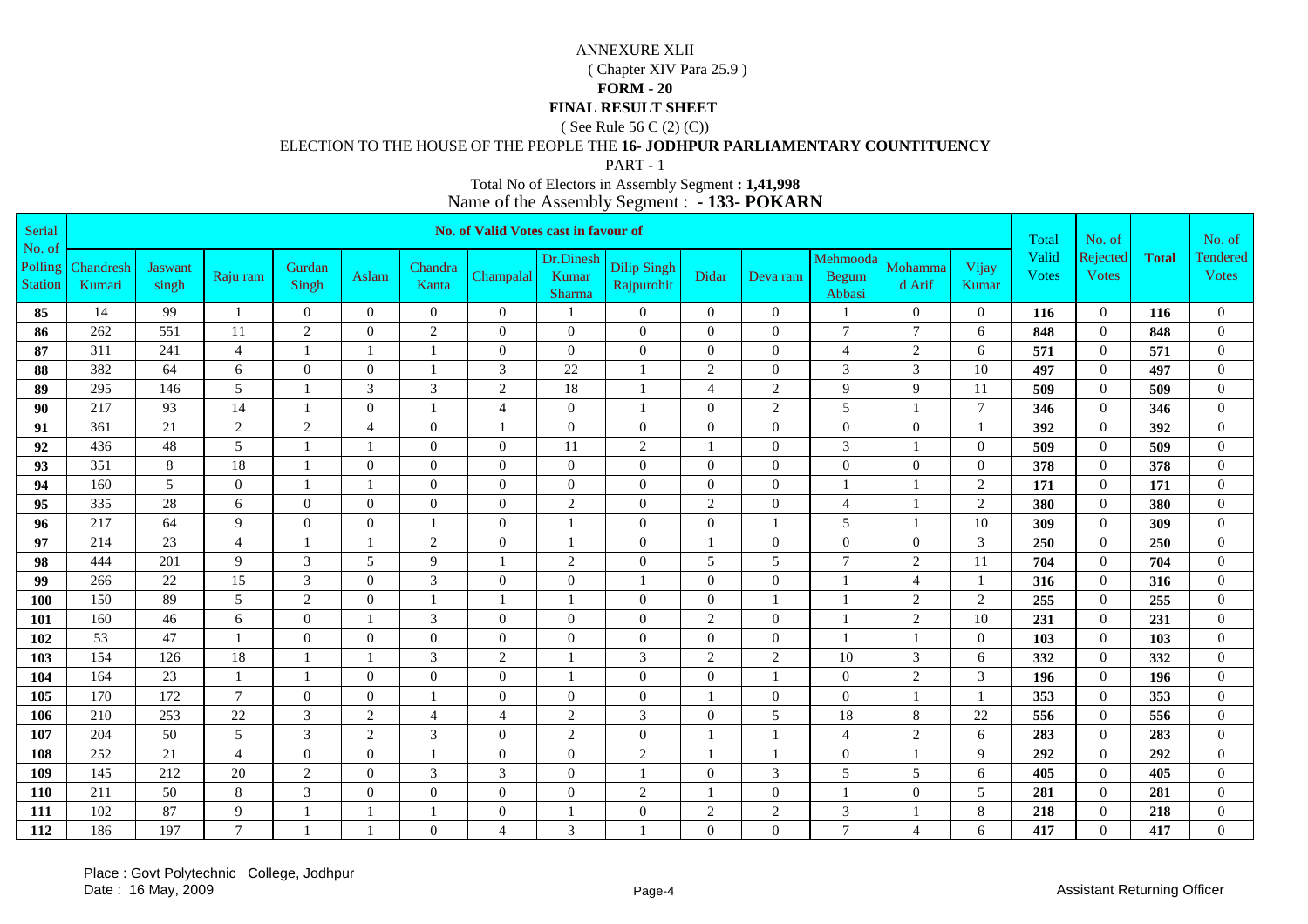( Chapter XIV Para 25.9 )

#### **FORM - 20**

### **FINAL RESULT SHEET**

( See Rule 56 C (2) (C))

## ELECTION TO THE HOUSE OF THE PEOPLE THE **16- JODHPUR PARLIAMENTARY COUNTITUENCY**

PART - 1

| Serial                              |                     |                  |                  |                  |                |                  | <b>No. of Valid Votes cast in favour of</b> |                              |                                  |                |                |                             |                   |                  | Total                 | No. of                    |              | No. of                          |
|-------------------------------------|---------------------|------------------|------------------|------------------|----------------|------------------|---------------------------------------------|------------------------------|----------------------------------|----------------|----------------|-----------------------------|-------------------|------------------|-----------------------|---------------------------|--------------|---------------------------------|
| No. of<br>Polling<br><b>Station</b> | Chandresh<br>Kumari | Jaswant<br>singh | Raju ram         | Gurdan<br>Singh  | Aslam          | Chandra<br>Kanta | Champalal                                   | Dr.Dinesh<br>Kumar<br>Sharma | <b>Dilip Singh</b><br>Rajpurohit | Didar          | Deva ram       | Mehmooda<br>Begum<br>Abbasi | Mohamma<br>d Arif | Vijay<br>Kumar   | Valid<br><b>Votes</b> | Rejected<br><b>V</b> otes | <b>Total</b> | <b>Tendered</b><br><b>Votes</b> |
| 85                                  | 14                  | 99               | $\mathbf{1}$     | $\theta$         | $\Omega$       | $\overline{0}$   | $\theta$                                    |                              | $\Omega$                         | $\overline{0}$ | $\Omega$       |                             | $\overline{0}$    | $\mathbf{0}$     | 116                   | $\overline{0}$            | 116          | $\overline{0}$                  |
| 86                                  | 262                 | 551              | 11               | 2                | $\theta$       | 2                | $\overline{0}$                              | $\overline{0}$               | $\mathbf{0}$                     | $\overline{0}$ | $\mathbf{0}$   | $\overline{7}$              | $7\phantom{.0}$   | 6                | 848                   | $\mathbf{0}$              | 848          | $\overline{0}$                  |
| 87                                  | 311                 | 241              | $\overline{4}$   | $\mathbf{1}$     | $\mathbf{1}$   | $\overline{1}$   | $\overline{0}$                              | $\overline{0}$               | $\mathbf{0}$                     | $\overline{0}$ | $\mathbf{0}$   | $\overline{4}$              | $\sqrt{2}$        | 6                | 571                   | $\mathbf{0}$              | 571          | $\mathbf{0}$                    |
| 88                                  | 382                 | 64               | 6                | $\overline{0}$   | $\mathbf{0}$   | 1                | 3                                           | 22                           |                                  | $\overline{2}$ | $\overline{0}$ | 3                           | 3                 | 10               | 497                   | $\mathbf{0}$              | 497          | $\overline{0}$                  |
| 89                                  | 295                 | 146              | 5                | $\mathbf{1}$     | 3              | 3                | $\overline{2}$                              | 18                           |                                  | $\overline{4}$ | $\overline{2}$ | 9                           | 9                 | 11               | 509                   | $\mathbf{0}$              | 509          | $\overline{0}$                  |
| 90                                  | 217                 | 93               | 14               | $\mathbf{1}$     | $\Omega$       | $\mathbf{1}$     | $\overline{4}$                              | $\overline{0}$               |                                  | $\theta$       | $\sqrt{2}$     | 5                           | $\mathbf{1}$      | $\tau$           | 346                   | $\theta$                  | 346          | $\theta$                        |
| 91                                  | 361                 | 21               | $\overline{2}$   | 2                | $\overline{4}$ | $\overline{0}$   | $\mathbf{1}$                                | $\boldsymbol{0}$             | $\mathbf{0}$                     | $\overline{0}$ | $\overline{0}$ | $\mathbf{0}$                | $\boldsymbol{0}$  | $\mathbf{1}$     | 392                   | $\mathbf{0}$              | 392          | $\mathbf{0}$                    |
| 92                                  | 436                 | 48               | 5                | $\mathbf{1}$     | $\mathbf{1}$   | $\mathbf{0}$     | $\theta$                                    | 11                           | 2                                |                | $\Omega$       | $\mathfrak{Z}$              | $\mathbf{1}$      | $\boldsymbol{0}$ | 509                   | $\overline{0}$            | 509          | $\boldsymbol{0}$                |
| 93                                  | 351                 | 8                | 18               | $\mathbf{1}$     | $\overline{0}$ | $\mathbf{0}$     | $\mathbf{0}$                                | $\boldsymbol{0}$             | $\mathbf{0}$                     | $\mathbf{0}$   | $\mathbf{0}$   | $\mathbf{0}$                | $\boldsymbol{0}$  | $\boldsymbol{0}$ | 378                   | $\overline{0}$            | 378          | $\mathbf{0}$                    |
| 94                                  | 160                 | 5                | $\boldsymbol{0}$ | $\mathbf{1}$     | $\mathbf{1}$   | $\overline{0}$   | $\overline{0}$                              | $\overline{0}$               | $\mathbf{0}$                     | $\overline{0}$ | $\Omega$       |                             | $\mathbf{1}$      | $\sqrt{2}$       | 171                   | $\theta$                  | 171          | $\boldsymbol{0}$                |
| 95                                  | 335                 | 28               | 6                | $\mathbf{0}$     | $\mathbf{0}$   | $\mathbf{0}$     | $\mathbf{0}$                                | 2                            | $\mathbf{0}$                     | $\overline{2}$ | $\overline{0}$ | $\overline{4}$              | $\mathbf{1}$      | $\sqrt{2}$       | 380                   | $\mathbf{0}$              | 380          | $\mathbf{0}$                    |
| 96                                  | 217                 | 64               | 9                | $\overline{0}$   | $\mathbf{0}$   | $\mathbf{1}$     | $\mathbf{0}$                                | $\mathbf{1}$                 | $\mathbf{0}$                     | $\mathbf{0}$   |                | 5                           | $\mathbf{1}$      | 10               | 309                   | $\overline{0}$            | 309          | $\overline{0}$                  |
| 97                                  | 214                 | 23               | $\overline{4}$   | $\mathbf{1}$     |                | 2                | $\mathbf{0}$                                |                              | $\mathbf{0}$                     |                | $\mathbf{0}$   | $\mathbf{0}$                | $\mathbf{0}$      | $\mathfrak{Z}$   | 250                   | $\overline{0}$            | 250          | $\boldsymbol{0}$                |
| 98                                  | 444                 | 201              | 9                | 3                | 5              | 9                | $\mathbf{1}$                                | 2                            | $\mathbf{0}$                     | 5              | 5              | $\tau$                      | $\overline{2}$    | 11               | 704                   | $\mathbf{0}$              | 704          | $\mathbf{0}$                    |
| 99                                  | 266                 | 22               | 15               | 3                | $\mathbf{0}$   | $\mathfrak{Z}$   | $\overline{0}$                              | $\boldsymbol{0}$             |                                  | $\overline{0}$ | $\overline{0}$ |                             | $\overline{4}$    | 1                | 316                   | $\theta$                  | 316          | $\mathbf{0}$                    |
| 100                                 | 150                 | 89               | 5                | $\overline{2}$   | $\mathbf{0}$   | $\mathbf{1}$     | $\mathbf{1}$                                | $\overline{1}$               | $\mathbf{0}$                     | $\overline{0}$ |                |                             | $\overline{c}$    | $\sqrt{2}$       | 255                   | $\mathbf{0}$              | 255          | $\overline{0}$                  |
| 101                                 | 160                 | 46               | 6                | $\boldsymbol{0}$ |                | $\mathfrak{Z}$   | $\mathbf{0}$                                | $\boldsymbol{0}$             | $\mathbf{0}$                     | $\overline{2}$ | $\mathbf{0}$   |                             | $\sqrt{2}$        | 10               | 231                   | $\mathbf{0}$              | 231          | $\mathbf{0}$                    |
| 102                                 | 53                  | 47               | $\mathbf{1}$     | $\overline{0}$   | $\mathbf{0}$   | $\overline{0}$   | $\overline{0}$                              | $\overline{0}$               | $\mathbf{0}$                     | $\overline{0}$ | $\mathbf{0}$   |                             | $\mathbf{1}$      | $\boldsymbol{0}$ | 103                   | $\mathbf{0}$              | 103          | $\mathbf{0}$                    |
| 103                                 | 154                 | 126              | 18               |                  |                | $\mathfrak{Z}$   | $\sqrt{2}$                                  |                              | 3                                | $\overline{2}$ | $\sqrt{2}$     | $10\,$                      | $\mathfrak{Z}$    | 6                | 332                   | $\overline{0}$            | 332          | $\boldsymbol{0}$                |
| 104                                 | 164                 | 23               | -1               | $\overline{1}$   | $\mathbf{0}$   | $\boldsymbol{0}$ | $\boldsymbol{0}$                            | -1                           | $\mathbf{0}$                     | $\overline{0}$ |                | $\mathbf{0}$                | $\sqrt{2}$        | $\mathfrak{Z}$   | 196                   | $\mathbf{0}$              | 196          | $\mathbf{0}$                    |
| 105                                 | 170                 | 172              | $7\phantom{.0}$  | $\overline{0}$   | $\mathbf{0}$   | $\mathbf{1}$     | $\overline{0}$                              | $\overline{0}$               | $\mathbf{0}$                     |                | $\mathbf{0}$   | $\mathbf{0}$                | $\mathbf{1}$      | 1                | 353                   | $\mathbf{0}$              | 353          | $\overline{0}$                  |
| 106                                 | 210                 | 253              | 22               | 3                | 2              | $\overline{4}$   | $\overline{4}$                              | 2                            | 3                                | $\overline{0}$ | 5              | 18                          | 8                 | 22               | 556                   | $\overline{0}$            | 556          | $\theta$                        |
| 107                                 | 204                 | 50               | 5                | $\mathfrak{Z}$   | $\overline{2}$ | 3                | $\overline{0}$                              | $\overline{2}$               | $\mathbf{0}$                     |                |                | $\overline{4}$              | $\sqrt{2}$        | 6                | 283                   | $\theta$                  | 283          | $\overline{0}$                  |
| 108                                 | 252                 | 21               | $\overline{4}$   | $\overline{0}$   | $\overline{0}$ | $\mathbf{1}$     | $\overline{0}$                              | $\boldsymbol{0}$             | 2                                |                |                | $\boldsymbol{0}$            | $\mathbf{1}$      | 9                | 292                   | $\theta$                  | 292          | $\mathbf{0}$                    |
| 109                                 | 145                 | 212              | 20               | $\overline{2}$   | $\mathbf{0}$   | 3                | 3                                           | $\mathbf{0}$                 |                                  | $\theta$       | 3              | 5                           | $\sqrt{5}$        | 6                | 405                   | $\theta$                  | 405          | $\mathbf{0}$                    |
| <b>110</b>                          | 211                 | 50               | $\,8\,$          | $\mathfrak{Z}$   | $\mathbf{0}$   | $\overline{0}$   | $\mathbf{0}$                                | $\boldsymbol{0}$             | $\overline{2}$                   |                | $\mathbf{0}$   |                             | $\mathbf{0}$      | 5                | 281                   | $\mathbf{0}$              | 281          | $\mathbf{0}$                    |
| 111                                 | 102                 | 87               | 9                |                  |                | $\mathbf{1}$     | $\boldsymbol{0}$                            |                              | $\Omega$                         | $\overline{2}$ | $\sqrt{2}$     | 3                           | $\mathbf{1}$      | $\,8\,$          | 218                   | $\mathbf{0}$              | 218          | $\boldsymbol{0}$                |
| 112                                 | 186                 | 197              | $\overline{7}$   |                  |                | $\overline{0}$   | $\overline{4}$                              | $\mathfrak{Z}$               |                                  | $\overline{0}$ | $\Omega$       | $\tau$                      | $\overline{4}$    | 6                | 417                   | $\Omega$                  | 417          | $\overline{0}$                  |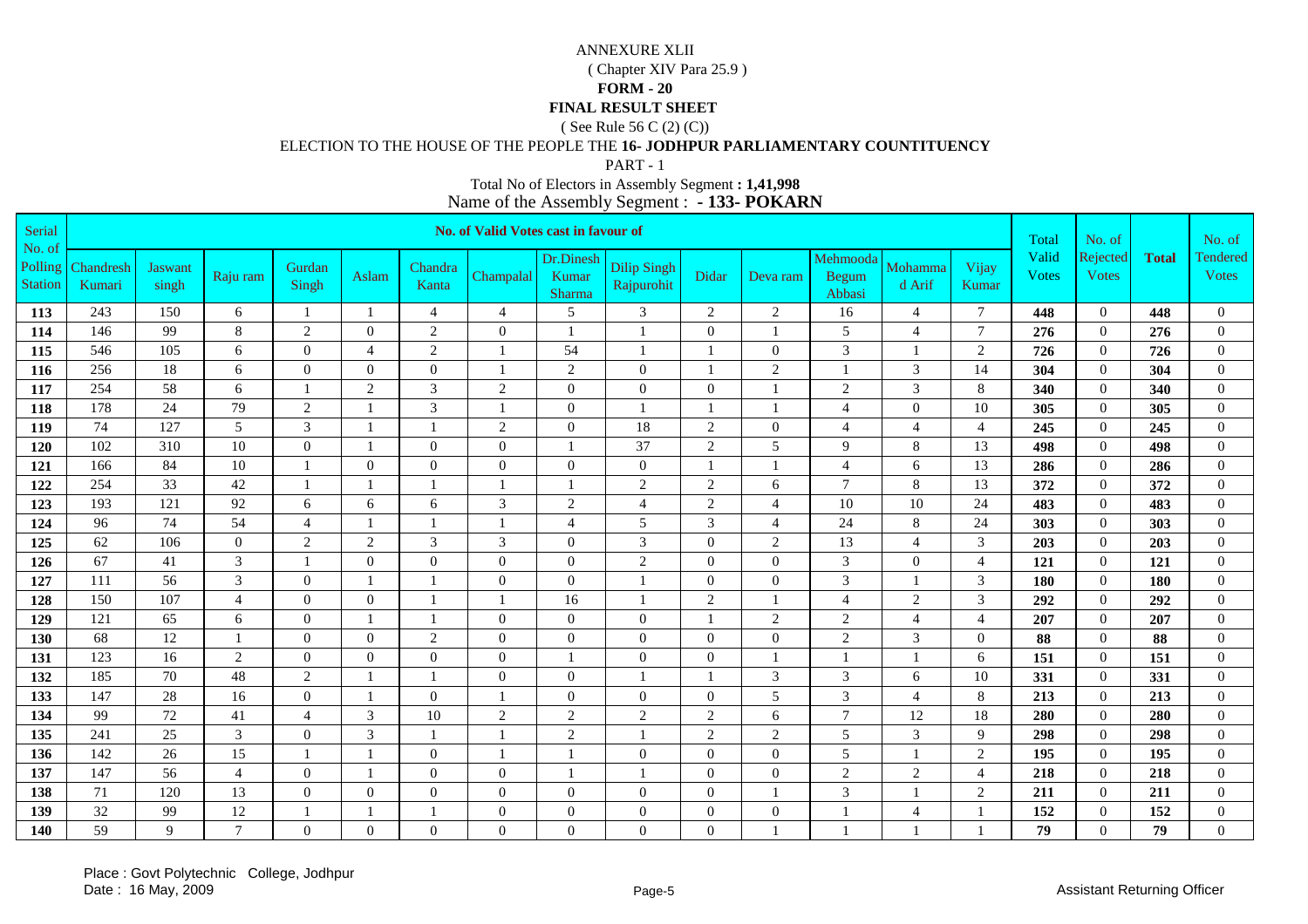( Chapter XIV Para 25.9 )

#### **FORM - 20**

### **FINAL RESULT SHEET**

( See Rule 56 C (2) (C))

### ELECTION TO THE HOUSE OF THE PEOPLE THE **16- JODHPUR PARLIAMENTARY COUNTITUENCY**

PART - 1

| Serial                              |                     |                         |                  |                 |                |                  | <b>No. of Valid Votes cast in favour of</b> |                              |                                  |                  |                |                                    |                   |                | Total                  | No. of                    |              | No. of                          |
|-------------------------------------|---------------------|-------------------------|------------------|-----------------|----------------|------------------|---------------------------------------------|------------------------------|----------------------------------|------------------|----------------|------------------------------------|-------------------|----------------|------------------------|---------------------------|--------------|---------------------------------|
| No. of<br>Polling<br><b>Station</b> | Chandresh<br>Kumari | <b>Jaswant</b><br>singh | Raju ram         | Gurdan<br>Singh | Aslam          | Chandra<br>Kanta | Champalal                                   | Dr.Dinesh<br>Kumar<br>Sharma | <b>Dilip Singh</b><br>Rajpurohit | Didar            | Deva ram       | Mehmooda<br><b>Begum</b><br>Abbasi | Mohamma<br>d Arif | Vijay<br>Kumar | Valid<br><b>V</b> otes | Rejected<br><b>V</b> otes | <b>Total</b> | <b>Tendered</b><br><b>Votes</b> |
| 113                                 | 243                 | 150                     | 6                | $\mathbf{1}$    |                | $\overline{4}$   | $\overline{4}$                              | 5                            | 3                                | $\overline{2}$   | 2              | 16                                 | 4                 | $\overline{7}$ | 448                    | $\mathbf{0}$              | 448          | $\overline{0}$                  |
| 114                                 | 146                 | 99                      | 8                | $\overline{c}$  | $\overline{0}$ | 2                | $\overline{0}$                              | $\overline{1}$               |                                  | $\mathbf{0}$     |                | 5                                  | $\overline{4}$    | $\tau$         | 276                    | $\mathbf{0}$              | 276          | $\overline{0}$                  |
| 115                                 | 546                 | 105                     | 6                | $\overline{0}$  | $\overline{4}$ | 2                | $\mathbf{1}$                                | 54                           |                                  |                  | $\overline{0}$ | $\mathfrak{Z}$                     | $\mathbf{1}$      | $\sqrt{2}$     | 726                    | $\mathbf{0}$              | 726          | $\mathbf{0}$                    |
| 116                                 | 256                 | 18                      | 6                | $\overline{0}$  | $\overline{0}$ | $\overline{0}$   | 1                                           | $\sqrt{2}$                   | $\overline{0}$                   |                  | $\overline{2}$ |                                    | $\mathfrak{Z}$    | 14             | 304                    | $\mathbf{0}$              | 304          | $\overline{0}$                  |
| 117                                 | 254                 | 58                      | 6                | $\mathbf{1}$    | $\overline{2}$ | 3                | $\overline{2}$                              | $\mathbf{0}$                 | $\overline{0}$                   | $\boldsymbol{0}$ |                | $\sqrt{2}$                         | $\mathfrak{Z}$    | 8              | 340                    | $\mathbf{0}$              | 340          | $\overline{0}$                  |
| 118                                 | 178                 | 24                      | 79               | $\sqrt{2}$      |                | 3                | $\mathbf{1}$                                | $\overline{0}$               |                                  |                  |                | $\overline{4}$                     | $\boldsymbol{0}$  | 10             | 305                    | $\Omega$                  | 305          | $\Omega$                        |
| 119                                 | 74                  | 127                     | 5                | 3               |                | 1                | $\overline{2}$                              | $\boldsymbol{0}$             | 18                               | $\overline{2}$   | $\overline{0}$ | $\overline{4}$                     | $\overline{4}$    | $\overline{4}$ | 245                    | $\mathbf{0}$              | 245          | $\mathbf{0}$                    |
| 120                                 | 102                 | 310                     | 10               | $\mathbf{0}$    |                | $\mathbf{0}$     | $\Omega$                                    | $\overline{1}$               | 37                               | $\sqrt{2}$       | 5              | 9                                  | $8\,$             | 13             | 498                    | $\Omega$                  | 498          | $\boldsymbol{0}$                |
| 121                                 | 166                 | 84                      | 10               |                 | $\overline{0}$ | $\mathbf{0}$     | $\boldsymbol{0}$                            | $\mathbf{0}$                 | $\overline{0}$                   |                  |                | $\overline{4}$                     | 6                 | 13             | 286                    | $\overline{0}$            | 286          | $\mathbf{0}$                    |
| 122                                 | 254                 | 33                      | 42               | $\mathbf{1}$    |                |                  | $\mathbf{1}$                                |                              | $\sqrt{2}$                       | $\sqrt{2}$       | 6              | $\overline{7}$                     | $8\,$             | 13             | 372                    | $\mathbf{0}$              | 372          | $\boldsymbol{0}$                |
| 123                                 | 193                 | 121                     | 92               | 6               | 6              | 6                | $\mathfrak{Z}$                              | $\sqrt{2}$                   | $\overline{4}$                   | $\overline{2}$   | $\overline{4}$ | 10                                 | $10\,$            | 24             | 483                    | $\mathbf{0}$              | 483          | $\mathbf{0}$                    |
| 124                                 | 96                  | 74                      | 54               | $\overline{4}$  |                | $\mathbf{1}$     | $\mathbf{1}$                                | $\overline{4}$               | 5                                | 3                | $\overline{4}$ | $24\,$                             | $8\,$             | 24             | 303                    | $\overline{0}$            | 303          | $\overline{0}$                  |
| 125                                 | 62                  | 106                     | $\boldsymbol{0}$ | $\sqrt{2}$      | $\overline{2}$ | $\mathfrak{Z}$   | $\mathfrak{Z}$                              | $\overline{0}$               | 3                                | $\overline{0}$   | $\overline{c}$ | 13                                 | $\overline{4}$    | $\mathfrak{Z}$ | 203                    | $\overline{0}$            | 203          | $\boldsymbol{0}$                |
| 126                                 | 67                  | 41                      | $\mathfrak{Z}$   | $\mathbf{1}$    | $\overline{0}$ | $\overline{0}$   | $\mathbf{0}$                                | $\mathbf{0}$                 | $\mathbf{2}$                     | $\overline{0}$   | $\overline{0}$ | 3                                  | $\boldsymbol{0}$  | $\overline{4}$ | 121                    | $\theta$                  | 121          | $\mathbf{0}$                    |
| 127                                 | 111                 | 56                      | 3                | $\overline{0}$  |                | $\mathbf{1}$     | $\mathbf{0}$                                | $\overline{0}$               |                                  | $\overline{0}$   | $\overline{0}$ | 3                                  | $\mathbf{1}$      | $\mathfrak{Z}$ | 180                    | $\theta$                  | <b>180</b>   | $\mathbf{0}$                    |
| 128                                 | 150                 | 107                     | $\overline{4}$   | $\overline{0}$  | $\overline{0}$ |                  | $\mathbf{1}$                                | 16                           |                                  | 2                |                | $\overline{4}$                     | $\sqrt{2}$        | 3              | 292                    | $\mathbf{0}$              | 292          | $\overline{0}$                  |
| 129                                 | 121                 | 65                      | 6                | $\mathbf{0}$    |                |                  | $\overline{0}$                              | $\mathbf{0}$                 | $\mathbf{0}$                     |                  | $\sqrt{2}$     | $\sqrt{2}$                         | $\overline{4}$    | $\overline{4}$ | 207                    | $\mathbf{0}$              | 207          | $\mathbf{0}$                    |
| 130                                 | 68                  | 12                      | $\overline{1}$   | $\overline{0}$  | $\theta$       | $\overline{2}$   | $\overline{0}$                              | $\overline{0}$               | $\overline{0}$                   | $\mathbf{0}$     | $\mathbf{0}$   | $\sqrt{2}$                         | $\mathfrak{Z}$    | $\mathbf{0}$   | 88                     | $\mathbf{0}$              | 88           | $\boldsymbol{0}$                |
| 131                                 | 123                 | 16                      | 2                | $\overline{0}$  | $\theta$       | $\overline{0}$   | $\mathbf{0}$                                | $\mathbf{1}$                 | $\overline{0}$                   | $\overline{0}$   |                |                                    | $\mathbf{1}$      | 6              | 151                    | $\overline{0}$            | 151          | $\theta$                        |
| 132                                 | 185                 | 70                      | 48               | $\overline{2}$  |                | $\mathbf{1}$     | $\boldsymbol{0}$                            | $\overline{0}$               |                                  |                  | $\mathfrak{Z}$ | 3                                  | 6                 | 10             | 331                    | $\theta$                  | 331          | $\boldsymbol{0}$                |
| 133                                 | 147                 | 28                      | 16               | $\mathbf{0}$    |                | $\overline{0}$   | $\mathbf{1}$                                | $\boldsymbol{0}$             | $\overline{0}$                   | $\mathbf{0}$     | 5              | 3                                  | $\overline{4}$    | 8              | 213                    | $\theta$                  | 213          | $\overline{0}$                  |
| 134                                 | 99                  | 72                      | 41               | $\overline{4}$  | 3              | 10               | $\overline{2}$                              | 2                            | 2                                | $\overline{2}$   | 6              | $\tau$                             | 12                | 18             | 280                    | $\overline{0}$            | 280          | $\theta$                        |
| 135                                 | 241                 | 25                      | $\mathfrak{Z}$   | $\overline{0}$  | 3              |                  | $\mathbf{1}$                                | $\overline{2}$               |                                  | $\overline{2}$   | 2              | 5                                  | $\mathfrak{Z}$    | 9              | 298                    | $\Omega$                  | 298          | $\overline{0}$                  |
| 136                                 | 142                 | 26                      | 15               | $\mathbf{1}$    |                | $\mathbf{0}$     | $\mathbf{1}$                                |                              | $\overline{0}$                   | $\overline{0}$   | $\mathbf{0}$   | $\mathfrak{S}$                     | $\mathbf{1}$      | $\sqrt{2}$     | 195                    | $\Omega$                  | 195          | $\mathbf{0}$                    |
| 137                                 | 147                 | 56                      | $\overline{4}$   | $\overline{0}$  |                | $\mathbf{0}$     | $\mathbf{0}$                                | $\overline{1}$               |                                  | $\theta$         | $\Omega$       | $\overline{2}$                     | $\sqrt{2}$        | $\overline{4}$ | 218                    | $\Omega$                  | 218          | $\mathbf{0}$                    |
| 138                                 | 71                  | 120                     | 13               | $\mathbf{0}$    | $\overline{0}$ | $\overline{0}$   | $\overline{0}$                              | $\mathbf{0}$                 | $\overline{0}$                   | $\boldsymbol{0}$ |                | $\mathfrak{Z}$                     | $\mathbf{1}$      | $\sqrt{2}$     | 211                    | $\mathbf{0}$              | 211          | $\boldsymbol{0}$                |
| 139                                 | 32                  | 99                      | 12               | -1              |                | 1                | $\mathbf{0}$                                | $\boldsymbol{0}$             | $\Omega$                         | $\overline{0}$   | $\Omega$       |                                    | $\overline{4}$    | 1              | 152                    | $\theta$                  | 152          | $\boldsymbol{0}$                |
| 140                                 | 59                  | 9                       | $\overline{7}$   | $\Omega$        | $\mathbf{0}$   | $\overline{0}$   | $\Omega$                                    | $\overline{0}$               | $\Omega$                         | $\overline{0}$   |                |                                    | $\mathbf{1}$      |                | 79                     | $\Omega$                  | 79           | $\overline{0}$                  |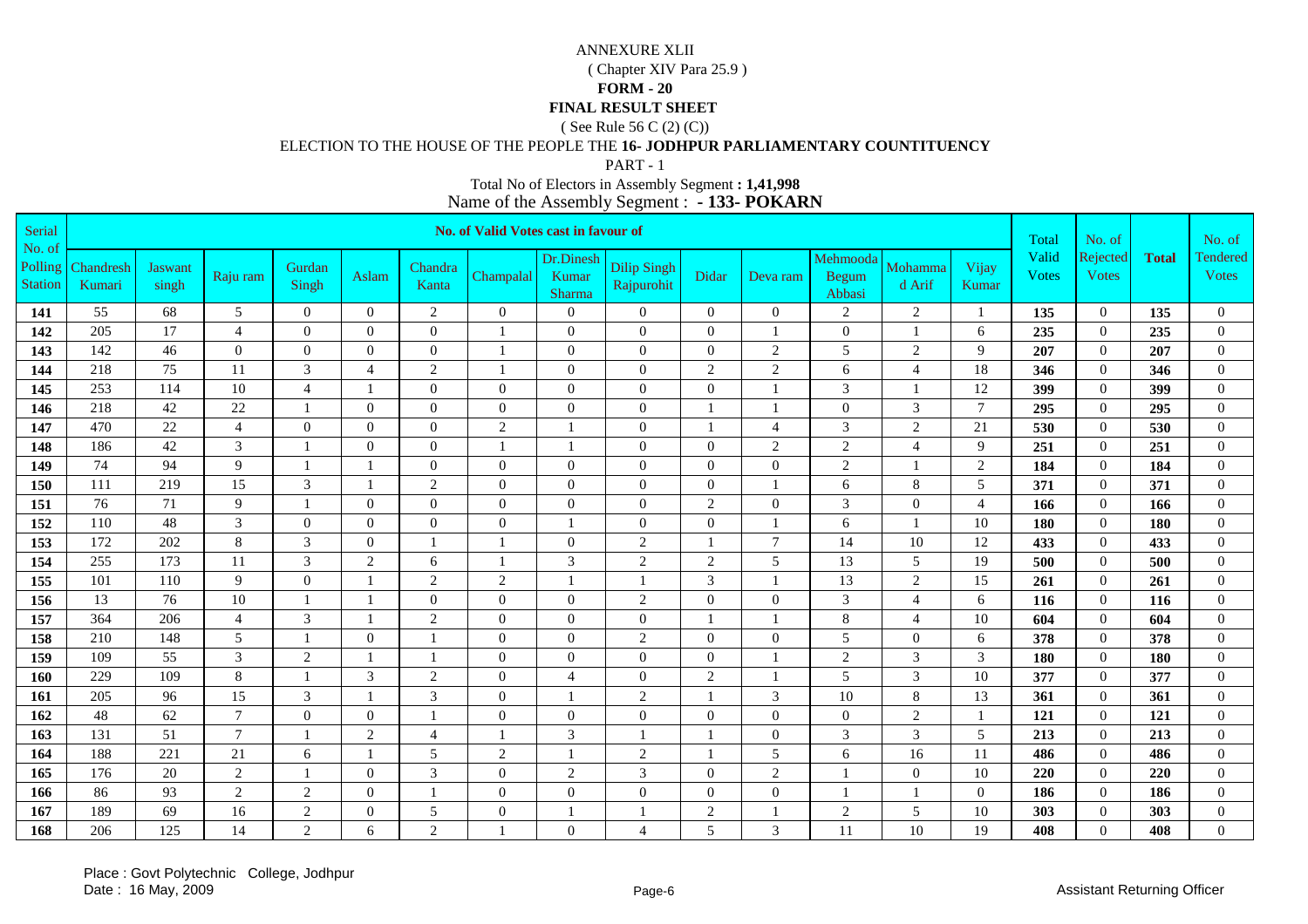( Chapter XIV Para 25.9 )

#### **FORM - 20**

### **FINAL RESULT SHEET**

( See Rule 56 C (2) (C))

## ELECTION TO THE HOUSE OF THE PEOPLE THE **16- JODHPUR PARLIAMENTARY COUNTITUENCY**

PART - 1

| Serial                              |                     |                         |                |                  |                  |                  | No. of Valid Votes cast in favour of |                              |                                  |                |                |                                    |                   |                  | Total                 | No. of                   |              | No. of                          |
|-------------------------------------|---------------------|-------------------------|----------------|------------------|------------------|------------------|--------------------------------------|------------------------------|----------------------------------|----------------|----------------|------------------------------------|-------------------|------------------|-----------------------|--------------------------|--------------|---------------------------------|
| No. of<br>Polling<br><b>Station</b> | Chandresh<br>Kumari | <b>Jaswant</b><br>singh | Raju ram       | Gurdan<br>Singh  | Aslam            | Chandra<br>Kanta | Champalal                            | Dr.Dinesh<br>Kumar<br>Sharma | <b>Dilip Singh</b><br>Rajpurohit | Didar          | Deva ram       | Mehmooda<br><b>Begum</b><br>Abbasi | Mohamma<br>d Arif | Vijay<br>Kumar   | Valid<br><b>Votes</b> | Rejected<br><b>Votes</b> | <b>Total</b> | <b>Tendered</b><br><b>Votes</b> |
| 141                                 | 55                  | 68                      | 5              | $\overline{0}$   | $\Omega$         | $\overline{2}$   | $\theta$                             | $\overline{0}$               | $\overline{0}$                   | $\overline{0}$ | $\overline{0}$ | 2                                  | $\overline{2}$    |                  | 135                   | $\mathbf{0}$             | 135          | $\mathbf{0}$                    |
| 142                                 | 205                 | 17                      | $\overline{4}$ | $\mathbf{0}$     | $\overline{0}$   | $\overline{0}$   | $\mathbf{1}$                         | $\overline{0}$               | $\overline{0}$                   | $\overline{0}$ |                | $\overline{0}$                     | $\mathbf{1}$      | 6                | 235                   | $\mathbf{0}$             | 235          | $\overline{0}$                  |
| 143                                 | 142                 | 46                      | $\overline{0}$ | $\mathbf{0}$     | $\mathbf{0}$     | $\overline{0}$   | 1                                    | $\overline{0}$               | $\overline{0}$                   | $\overline{0}$ | $\overline{c}$ | 5                                  | $\sqrt{2}$        | 9                | 207                   | $\mathbf{0}$             | 207          | $\overline{0}$                  |
| 144                                 | 218                 | 75                      | 11             | 3                | $\overline{4}$   | $\overline{2}$   | $\mathbf{1}$                         | $\overline{0}$               | $\overline{0}$                   | $\mathbf{2}$   | $\overline{c}$ | 6                                  | $\overline{4}$    | 18               | 346                   | $\mathbf{0}$             | 346          | $\overline{0}$                  |
| 145                                 | 253                 | 114                     | 10             | $\overline{4}$   | 1                | $\overline{0}$   | $\overline{0}$                       | $\overline{0}$               | $\overline{0}$                   | $\mathbf{0}$   | $\overline{1}$ | $\mathfrak{Z}$                     | $\mathbf{1}$      | 12               | 399                   | $\mathbf{0}$             | 399          | $\overline{0}$                  |
| 146                                 | 218                 | 42                      | 22             | $\overline{1}$   | $\Omega$         | $\overline{0}$   | $\Omega$                             | $\theta$                     | $\Omega$                         |                |                | $\overline{0}$                     | 3                 | $\overline{7}$   | 295                   | $\Omega$                 | 295          | $\Omega$                        |
| 147                                 | 470                 | 22                      | $\overline{4}$ | $\boldsymbol{0}$ | $\mathbf{0}$     | $\overline{0}$   | $\overline{c}$                       | $\mathbf{1}$                 | $\overline{0}$                   |                | $\overline{4}$ | $\mathfrak{Z}$                     | $\overline{c}$    | 21               | 530                   | $\mathbf{0}$             | 530          | $\mathbf{0}$                    |
| 148                                 | 186                 | 42                      | 3              | $\mathbf{1}$     | $\Omega$         | $\mathbf{0}$     | $\mathbf{1}$                         | $\mathbf{1}$                 | $\Omega$                         | $\mathbf{0}$   | $\overline{2}$ | $\overline{c}$                     | $\overline{4}$    | 9                | 251                   | $\Omega$                 | 251          | $\mathbf{0}$                    |
| 149                                 | 74                  | 94                      | 9              |                  | $\mathbf{1}$     | $\overline{0}$   | $\overline{0}$                       | $\overline{0}$               | $\theta$                         | $\Omega$       | $\overline{0}$ | $\overline{c}$                     | $\mathbf{1}$      | $\sqrt{2}$       | 184                   | $\overline{0}$           | 184          | $\overline{0}$                  |
| 150                                 | 111                 | 219                     | 15             | $\mathfrak{Z}$   | 1                | $\overline{2}$   | $\overline{0}$                       | $\overline{0}$               | $\overline{0}$                   | $\Omega$       | $\mathbf{1}$   | 6                                  | $8\,$             | 5                | 371                   | $\mathbf{0}$             | 371          | $\mathbf{0}$                    |
| 151                                 | 76                  | $71\,$                  | 9              | $\mathbf{1}$     | $\mathbf{0}$     | $\mathbf{0}$     | $\overline{0}$                       | $\mathbf{0}$                 | $\overline{0}$                   | $\sqrt{2}$     | $\overline{0}$ | $\mathfrak{Z}$                     | $\boldsymbol{0}$  | $\overline{4}$   | 166                   | $\mathbf{0}$             | 166          | $\boldsymbol{0}$                |
| 152                                 | 110                 | 48                      | 3              | $\overline{0}$   | $\mathbf{0}$     | $\mathbf{0}$     | $\overline{0}$                       |                              | $\Omega$                         | $\overline{0}$ |                | 6                                  | $\mathbf{1}$      | 10               | 180                   | $\overline{0}$           | 180          | $\theta$                        |
| 153                                 | 172                 | 202                     | $8\,$          | $\mathfrak{Z}$   | $\mathbf{0}$     | $\mathbf{1}$     | $\mathbf{1}$                         | $\boldsymbol{0}$             | $\sqrt{2}$                       |                | $\tau$         | 14                                 | $10\,$            | 12               | 433                   | $\mathbf{0}$             | 433          | $\theta$                        |
| 154                                 | 255                 | 173                     | 11             | 3                | $\overline{2}$   | 6                | $\mathbf{1}$                         | $\mathfrak{Z}$               | $\mathbf{2}$                     | $\overline{2}$ | 5              | 13                                 | 5                 | 19               | 500                   | $\mathbf{0}$             | 500          | $\mathbf{0}$                    |
| 155                                 | 101                 | 110                     | 9              | $\theta$         | $\mathbf{1}$     | $\overline{2}$   | 2                                    | $\mathbf{1}$                 | $\overline{1}$                   | 3              |                | 13                                 | $\overline{2}$    | 15               | 261                   | $\theta$                 | 261          | $\theta$                        |
| 156                                 | 13                  | 76                      | 10             |                  | $\mathbf{1}$     | $\overline{0}$   | $\overline{0}$                       | $\overline{0}$               | $\mathbf{2}$                     | $\theta$       | $\overline{0}$ | 3                                  | $\overline{4}$    | 6                | 116                   | $\mathbf{0}$             | 116          | $\overline{0}$                  |
| 157                                 | 364                 | 206                     | $\overline{4}$ | $\mathfrak{Z}$   | $\mathbf{1}$     | $\overline{2}$   | $\overline{0}$                       | $\overline{0}$               | $\mathbf{0}$                     |                |                | 8                                  | $\overline{4}$    | 10               | 604                   | $\mathbf{0}$             | 604          | $\mathbf{0}$                    |
| 158                                 | 210                 | 148                     | 5              |                  | $\mathbf{0}$     |                  | $\overline{0}$                       | $\boldsymbol{0}$             | $\overline{2}$                   | $\mathbf{0}$   | $\overline{0}$ | 5                                  | $\boldsymbol{0}$  | 6                | 378                   | $\mathbf{0}$             | 378          | $\mathbf{0}$                    |
| 159                                 | 109                 | 55                      | 3              | $\overline{2}$   | $\mathbf{1}$     |                  | $\overline{0}$                       | $\overline{0}$               | $\mathbf{0}$                     | $\mathbf{0}$   |                | $\overline{c}$                     | $\mathfrak{Z}$    | $\mathfrak{Z}$   | 180                   | $\mathbf{0}$             | 180          | $\theta$                        |
| 160                                 | 229                 | 109                     | $8\,$          | $\overline{1}$   | 3                | $\sqrt{2}$       | $\overline{0}$                       | $\overline{4}$               | $\theta$                         | $\overline{2}$ |                | 5                                  | $\overline{3}$    | 10               | 377                   | $\mathbf{0}$             | 377          | $\boldsymbol{0}$                |
| 161                                 | 205                 | 96                      | 15             | $\mathfrak{Z}$   | $\mathbf{1}$     | $\mathfrak{Z}$   | $\overline{0}$                       | $\mathbf{1}$                 | $\mathbf{2}$                     |                | 3              | 10                                 | 8                 | 13               | 361                   | $\mathbf{0}$             | 361          | $\overline{0}$                  |
| 162                                 | 48                  | 62                      | $\tau$         | $\theta$         | $\overline{0}$   | $\mathbf{1}$     | $\overline{0}$                       | $\overline{0}$               | $\overline{0}$                   | $\mathbf{0}$   | $\overline{0}$ | $\mathbf{0}$                       | $\overline{c}$    | 1                | 121                   | $\theta$                 | 121          | $\theta$                        |
| 163                                 | 131                 | 51                      | $\overline{7}$ |                  | $\overline{2}$   | $\overline{4}$   | $\mathbf{1}$                         | $\mathfrak{Z}$               |                                  |                | $\Omega$       | 3                                  | 3                 | 5                | 213                   | $\mathbf{0}$             | 213          | $\overline{0}$                  |
| 164                                 | 188                 | 221                     | 21             | 6                | $\mathbf{1}$     | 5                | 2                                    | $\mathbf{1}$                 | 2                                |                | 5              | 6                                  | 16                | 11               | 486                   | $\mathbf{0}$             | 486          | $\mathbf{0}$                    |
| 165                                 | 176                 | 20                      | $\overline{2}$ |                  | $\boldsymbol{0}$ | $\overline{3}$   | $\mathbf{0}$                         | $\overline{2}$               | $\overline{3}$                   | $\Omega$       | $\overline{c}$ |                                    | $\overline{0}$    | 10               | 220                   | $\Omega$                 | 220          | $\mathbf{0}$                    |
| 166                                 | 86                  | 93                      | 2              | $\overline{2}$   | $\overline{0}$   | $\mathbf{1}$     | $\overline{0}$                       | $\boldsymbol{0}$             | $\overline{0}$                   | $\overline{0}$ | $\overline{0}$ |                                    | $\mathbf{1}$      | $\boldsymbol{0}$ | 186                   | $\mathbf{0}$             | 186          | $\mathbf{0}$                    |
| 167                                 | 189                 | 69                      | 16             | $\sqrt{2}$       | $\mathbf{0}$     | 5                | $\overline{0}$                       | $\mathbf{1}$                 |                                  | $\overline{2}$ |                | $\overline{c}$                     | 5                 | 10               | 303                   | $\theta$                 | 303          | $\boldsymbol{0}$                |
| 168                                 | 206                 | 125                     | 14             | $\overline{c}$   | 6                | $\overline{2}$   | $\mathbf{1}$                         | $\mathbf{0}$                 | $\overline{4}$                   | 5              | 3              | 11                                 | 10                | 19               | 408                   | $\Omega$                 | 408          | $\overline{0}$                  |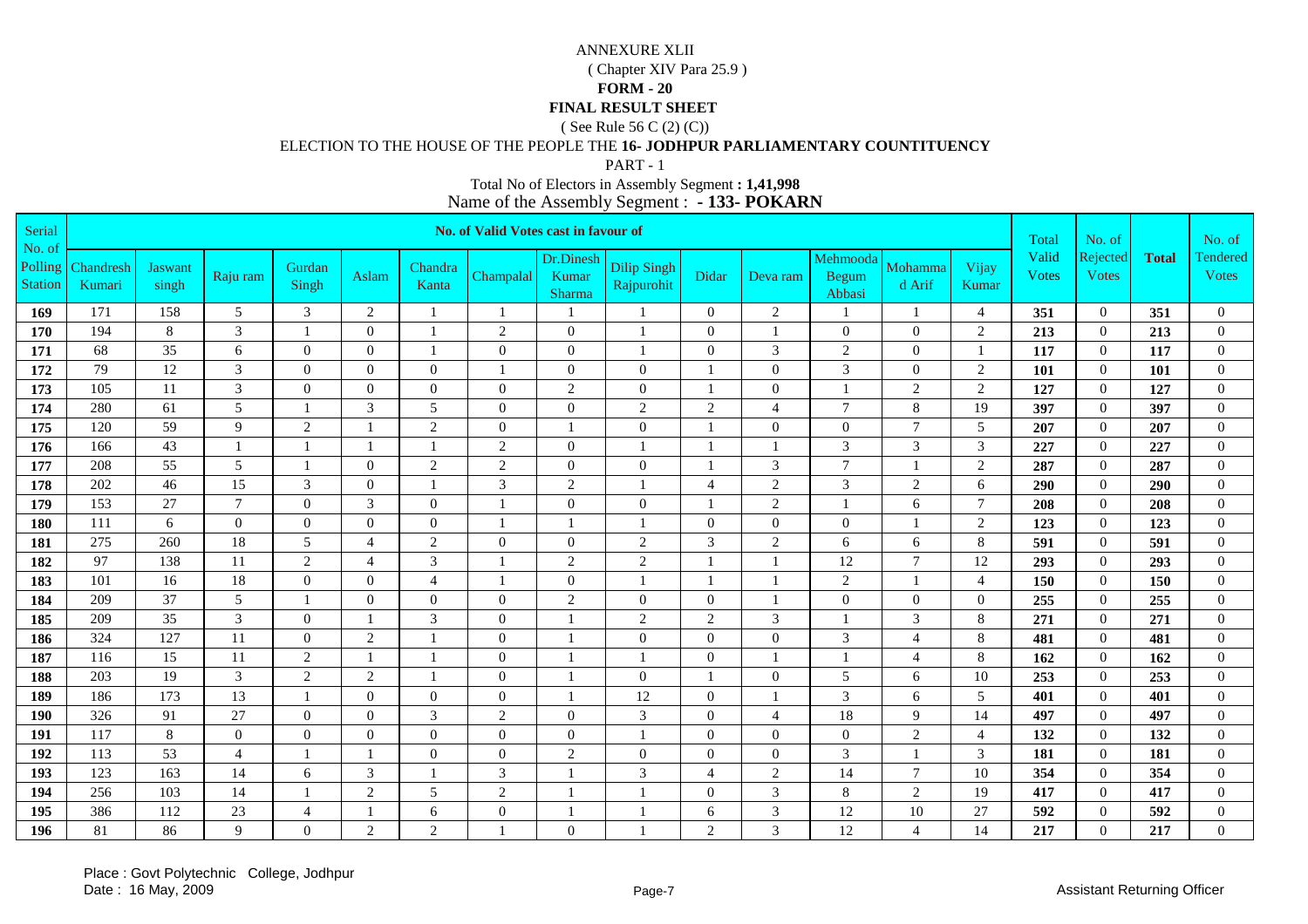( Chapter XIV Para 25.9 )

#### **FORM - 20**

### **FINAL RESULT SHEET**

( See Rule 56 C (2) (C))

### ELECTION TO THE HOUSE OF THE PEOPLE THE **16- JODHPUR PARLIAMENTARY COUNTITUENCY**

PART - 1

| Serial                              |                     |                         |                |                          |                |                  | No. of Valid Votes cast in favour of |                              |                                  |                |                |                                    |                   |                | Total                 | No. of                   |              | No. of                          |
|-------------------------------------|---------------------|-------------------------|----------------|--------------------------|----------------|------------------|--------------------------------------|------------------------------|----------------------------------|----------------|----------------|------------------------------------|-------------------|----------------|-----------------------|--------------------------|--------------|---------------------------------|
| No. of<br>Polling<br><b>Station</b> | Chandresh<br>Kumari | <b>Jaswant</b><br>singh | Raju ram       | Gurdan<br>Singh          | Aslam          | Chandra<br>Kanta | Champalal                            | Dr.Dinesh<br>Kumar<br>Sharma | <b>Dilip Singh</b><br>Rajpurohit | Didar          | Deva ram       | Mehmooda<br><b>Begum</b><br>Abbasi | Mohamma<br>d Arif | Vijay<br>Kumar | Valid<br><b>Votes</b> | Rejected<br><b>Votes</b> | <b>Total</b> | <b>Tendered</b><br><b>Votes</b> |
| 169                                 | 171                 | 158                     | 5              | 3                        | $\overline{2}$ |                  | $\mathbf{1}$                         | $\mathbf{1}$                 | -1                               | $\overline{0}$ | 2              |                                    | $\mathbf{1}$      | $\overline{4}$ | 351                   | $\mathbf{0}$             | 351          | $\mathbf{0}$                    |
| 170                                 | 194                 | 8                       | 3              | $\overline{\phantom{a}}$ | $\mathbf{0}$   |                  | $\overline{c}$                       | $\overline{0}$               |                                  | $\overline{0}$ |                | $\overline{0}$                     | $\overline{0}$    | $\sqrt{2}$     | 213                   | $\mathbf{0}$             | 213          | $\overline{0}$                  |
| 171                                 | 68                  | 35                      | 6              | $\mathbf{0}$             | $\mathbf{0}$   | $\overline{1}$   | $\overline{0}$                       | $\overline{0}$               | $\overline{1}$                   | $\overline{0}$ | 3              | $\overline{c}$                     | $\overline{0}$    | 1              | 117                   | $\mathbf{0}$             | 117          | $\overline{0}$                  |
| 172                                 | 79                  | 12                      | $\mathfrak{Z}$ | $\mathbf{0}$             | $\mathbf{0}$   | $\overline{0}$   | $\mathbf{1}$                         | $\overline{0}$               | $\overline{0}$                   |                | $\overline{0}$ | 3                                  | $\overline{0}$    | $\overline{2}$ | 101                   | $\mathbf{0}$             | 101          | $\overline{0}$                  |
| 173                                 | 105                 | 11                      | 3              | $\mathbf{0}$             | $\overline{0}$ | $\overline{0}$   | $\overline{0}$                       | 2                            | $\overline{0}$                   |                | $\overline{0}$ |                                    | $\overline{c}$    | 2              | 127                   | $\mathbf{0}$             | 127          | $\overline{0}$                  |
| 174                                 | 280                 | 61                      | 5              | $\overline{1}$           | 3              | 5                | $\Omega$                             | $\theta$                     | $\mathbf{2}$                     | $\overline{2}$ | $\overline{4}$ | $\overline{7}$                     | $\,8\,$           | 19             | 397                   | $\Omega$                 | 397          | $\Omega$                        |
| 175                                 | 120                 | 59                      | 9              | $\overline{2}$           | $\mathbf{1}$   | $\overline{2}$   | $\overline{0}$                       | $\mathbf{1}$                 | $\overline{0}$                   |                | $\overline{0}$ | $\boldsymbol{0}$                   | $\tau$            | 5              | 207                   | $\mathbf{0}$             | 207          | $\mathbf{0}$                    |
| 176                                 | 166                 | 43                      |                | $\mathbf{1}$             | $\mathbf{1}$   | $\mathbf{1}$     | $\overline{2}$                       | $\mathbf{0}$                 | $\mathbf{1}$                     |                |                | 3                                  | 3                 | $\mathfrak{Z}$ | 227                   | $\Omega$                 | 227          | $\boldsymbol{0}$                |
| 177                                 | 208                 | 55                      | $\sqrt{5}$     |                          | $\overline{0}$ | 2                | $\sqrt{2}$                           | $\overline{0}$               | $\theta$                         |                | 3              | $\tau$                             | $\mathbf{1}$      | $\sqrt{2}$     | 287                   | $\overline{0}$           | 287          | $\overline{0}$                  |
| 178                                 | 202                 | 46                      | 15             | $\mathfrak{Z}$           | $\overline{0}$ | $\mathbf{1}$     | 3                                    | 2                            | $\overline{1}$                   | $\overline{4}$ | $\overline{c}$ | $\mathfrak{Z}$                     | $\sqrt{2}$        | 6              | 290                   | $\mathbf{0}$             | 290          | $\overline{0}$                  |
| 179                                 | 153                 | 27                      | $\overline{7}$ | $\theta$                 | $\mathfrak{Z}$ | $\mathbf{0}$     | $\mathbf{1}$                         | $\boldsymbol{0}$             | $\overline{0}$                   |                | $\sqrt{2}$     |                                    | 6                 | $\overline{7}$ | 208                   | $\mathbf{0}$             | 208          | $\boldsymbol{0}$                |
| 180                                 | 111                 | 6                       | $\mathbf{0}$   | $\overline{0}$           | $\mathbf{0}$   | $\mathbf{0}$     | $\mathbf{1}$                         |                              | $\mathbf{1}$                     | $\theta$       | $\Omega$       | $\boldsymbol{0}$                   | $\mathbf{1}$      | $\overline{2}$ | 123                   | $\mathbf{0}$             | 123          | $\theta$                        |
| 181                                 | 275                 | 260                     | 18             | 5                        | $\overline{4}$ | $\sqrt{2}$       | $\overline{0}$                       | $\mathbf{0}$                 | $\sqrt{2}$                       | 3              | $\sqrt{2}$     | 6                                  | 6                 | $\,8\,$        | 591                   | $\mathbf{0}$             | 591          | $\theta$                        |
| 182                                 | 97                  | 138                     | 11             | $\overline{2}$           | $\overline{4}$ | $\mathfrak{Z}$   | $\mathbf{1}$                         | 2                            | $\mathbf{2}$                     |                |                | 12                                 | $\tau$            | 12             | 293                   | $\mathbf{0}$             | 293          | $\mathbf{0}$                    |
| 183                                 | 101                 | 16                      | 18             | $\boldsymbol{0}$         | $\overline{0}$ | $\overline{4}$   | $\overline{1}$                       | $\mathbf{0}$                 | $\overline{1}$                   |                |                | 2                                  | $\mathbf{1}$      | $\overline{4}$ | 150                   | $\theta$                 | <b>150</b>   | $\theta$                        |
| 184                                 | 209                 | 37                      | 5              |                          | $\mathbf{0}$   | $\overline{0}$   | $\overline{0}$                       | $\overline{2}$               | $\theta$                         | $\theta$       |                | $\boldsymbol{0}$                   | $\boldsymbol{0}$  | $\mathbf{0}$   | 255                   | $\mathbf{0}$             | 255          | $\overline{0}$                  |
| 185                                 | 209                 | 35                      | $\overline{3}$ | $\mathbf{0}$             | $\mathbf{1}$   | 3                | $\overline{0}$                       | $\mathbf{1}$                 | 2                                | 2              | 3              |                                    | 3                 | $\,8\,$        | 271                   | $\mathbf{0}$             | 271          | $\mathbf{0}$                    |
| 186                                 | 324                 | 127                     | 11             | $\overline{0}$           | $\sqrt{2}$     |                  | $\overline{0}$                       |                              | $\overline{0}$                   | $\mathbf{0}$   | $\overline{0}$ | $\mathfrak{Z}$                     | $\overline{4}$    | $\,8\,$        | 481                   | $\mathbf{0}$             | 481          | $\mathbf{0}$                    |
| 187                                 | 116                 | 15                      | 11             | $\overline{2}$           | $\mathbf{1}$   |                  | $\overline{0}$                       | $\mathbf{1}$                 | $\overline{1}$                   | $\mathbf{0}$   |                |                                    | $\overline{4}$    | $8\,$          | 162                   | $\mathbf{0}$             | 162          | $\theta$                        |
| 188                                 | 203                 | 19                      | $\mathfrak{Z}$ | $\sqrt{2}$               | $\sqrt{2}$     |                  | $\overline{0}$                       |                              | $\theta$                         |                | $\Omega$       | 5                                  | $\epsilon$        | 10             | 253                   | $\theta$                 | 253          | $\boldsymbol{0}$                |
| 189                                 | 186                 | 173                     | 13             | $\mathbf{1}$             | $\mathbf{0}$   | $\overline{0}$   | $\overline{0}$                       | $\mathbf{1}$                 | 12                               | $\mathbf{0}$   |                | 3                                  | 6                 | 5              | 401                   | $\mathbf{0}$             | 401          | $\overline{0}$                  |
| <b>190</b>                          | 326                 | 91                      | 27             | $\mathbf{0}$             | $\mathbf{0}$   | 3                | $\overline{2}$                       | $\overline{0}$               | 3                                | $\mathbf{0}$   | $\overline{4}$ | $18\,$                             | 9                 | 14             | 497                   | $\theta$                 | 497          | $\theta$                        |
| 191                                 | 117                 | 8                       | $\mathbf{0}$   | $\overline{0}$           | $\mathbf{0}$   | $\overline{0}$   | $\overline{0}$                       | $\overline{0}$               |                                  | $\theta$       | $\Omega$       | $\overline{0}$                     | $\sqrt{2}$        | $\overline{4}$ | 132                   | $\mathbf{0}$             | 132          | $\overline{0}$                  |
| 192                                 | 113                 | 53                      | $\overline{4}$ | $\overline{1}$           | $\mathbf{1}$   | $\mathbf{0}$     | $\overline{0}$                       | 2                            | $\overline{0}$                   | $\overline{0}$ | $\overline{0}$ | $\mathfrak{Z}$                     | $\mathbf{1}$      | $\mathfrak{Z}$ | 181                   | $\mathbf{0}$             | 181          | $\mathbf{0}$                    |
| 193                                 | 123                 | 163                     | 14             | 6                        | $\mathfrak{Z}$ |                  | 3                                    |                              | $\mathfrak{Z}$                   | $\overline{4}$ | $\overline{c}$ | 14                                 | $\overline{7}$    | 10             | 354                   | $\Omega$                 | 354          | $\mathbf{0}$                    |
| 194                                 | 256                 | 103                     | 14             | $\mathbf{1}$             | 2              | 5                | $\overline{c}$                       | $\mathbf{1}$                 | $\overline{1}$                   | $\mathbf{0}$   | 3              | $8\,$                              | $\overline{c}$    | 19             | 417                   | $\mathbf{0}$             | 417          | $\mathbf{0}$                    |
| 195                                 | 386                 | 112                     | 23             | $\overline{4}$           | $\mathbf{1}$   | 6                | $\overline{0}$                       |                              |                                  | 6              | 3              | 12                                 | $10\,$            | 27             | 592                   | $\theta$                 | 592          | $\boldsymbol{0}$                |
| 196                                 | 81                  | 86                      | $\mathbf Q$    | $\theta$                 | $\mathfrak{2}$ | $\overline{2}$   | $\mathbf{1}$                         | $\mathbf{0}$                 |                                  | $\overline{2}$ | 3              | 12                                 | $\overline{4}$    | 14             | 217                   | $\Omega$                 | 217          | $\overline{0}$                  |